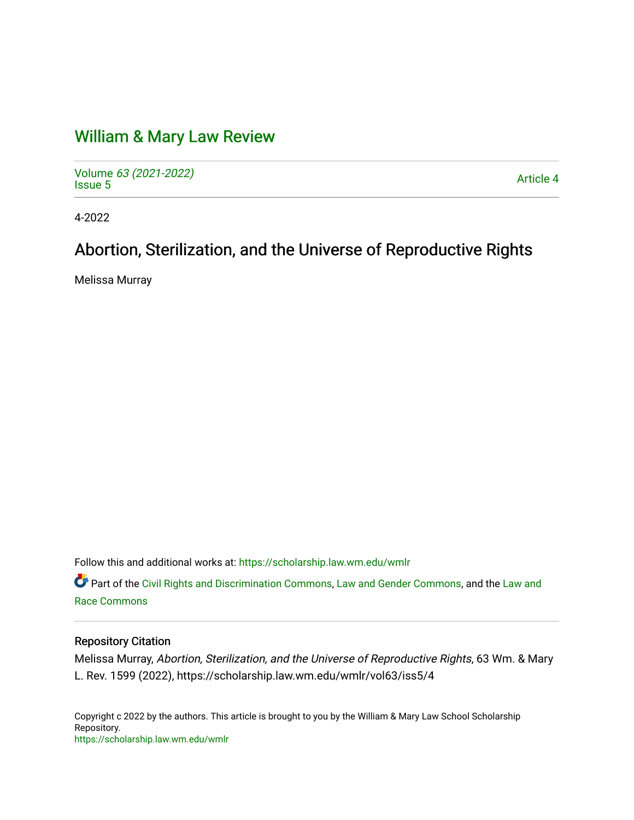# [William & Mary Law Review](https://scholarship.law.wm.edu/wmlr)

Volume [63 \(2021-2022\)](https://scholarship.law.wm.edu/wmlr/vol63)  volume os (2027-2022)<br>[Issue 5](https://scholarship.law.wm.edu/wmlr/vol63/iss5)

4-2022

# Abortion, Sterilization, and the Universe of Reproductive Rights

Melissa Murray

Follow this and additional works at: [https://scholarship.law.wm.edu/wmlr](https://scholarship.law.wm.edu/wmlr?utm_source=scholarship.law.wm.edu%2Fwmlr%2Fvol63%2Fiss5%2F4&utm_medium=PDF&utm_campaign=PDFCoverPages)

Part of the [Civil Rights and Discrimination Commons,](https://network.bepress.com/hgg/discipline/585?utm_source=scholarship.law.wm.edu%2Fwmlr%2Fvol63%2Fiss5%2F4&utm_medium=PDF&utm_campaign=PDFCoverPages) [Law and Gender Commons,](https://network.bepress.com/hgg/discipline/1298?utm_source=scholarship.law.wm.edu%2Fwmlr%2Fvol63%2Fiss5%2F4&utm_medium=PDF&utm_campaign=PDFCoverPages) and the [Law and](https://network.bepress.com/hgg/discipline/1300?utm_source=scholarship.law.wm.edu%2Fwmlr%2Fvol63%2Fiss5%2F4&utm_medium=PDF&utm_campaign=PDFCoverPages) [Race Commons](https://network.bepress.com/hgg/discipline/1300?utm_source=scholarship.law.wm.edu%2Fwmlr%2Fvol63%2Fiss5%2F4&utm_medium=PDF&utm_campaign=PDFCoverPages) 

# Repository Citation

Melissa Murray, Abortion, Sterilization, and the Universe of Reproductive Rights, 63 Wm. & Mary L. Rev. 1599 (2022), https://scholarship.law.wm.edu/wmlr/vol63/iss5/4

Copyright c 2022 by the authors. This article is brought to you by the William & Mary Law School Scholarship Repository. <https://scholarship.law.wm.edu/wmlr>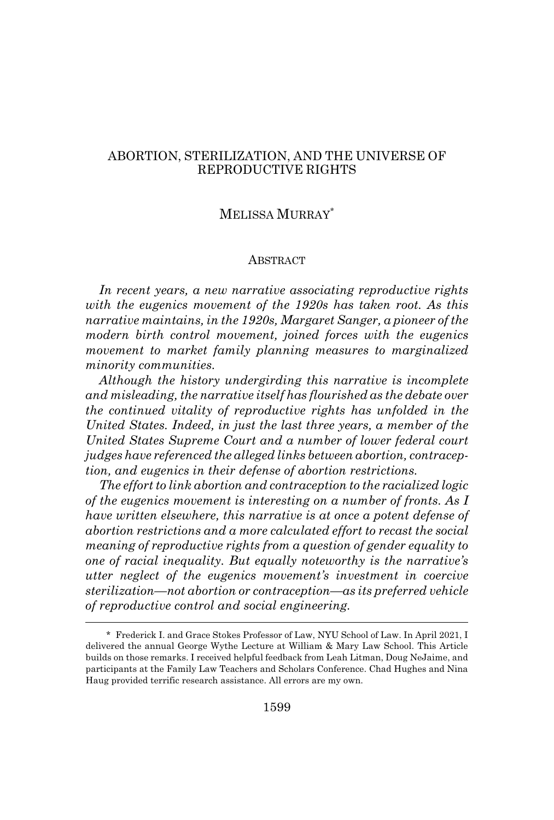# ABORTION, STERILIZATION, AND THE UNIVERSE OF REPRODUCTIVE RIGHTS

# MELISSA MURRAY\*

#### **ABSTRACT**

*In recent years, a new narrative associating reproductive rights with the eugenics movement of the 1920s has taken root. As this narrative maintains, in the 1920s, Margaret Sanger, a pioneer of the modern birth control movement, joined forces with the eugenics movement to market family planning measures to marginalized minority communities.*

*Although the history undergirding this narrative is incomplete and misleading, the narrative itself has flourished as the debate over the continued vitality of reproductive rights has unfolded in the United States. Indeed, in just the last three years, a member of the United States Supreme Court and a number of lower federal court judges have referenced the alleged links between abortion, contraception, and eugenics in their defense of abortion restrictions.*

*The effort to link abortion and contraception to the racialized logic of the eugenics movement is interesting on a number of fronts. As I have written elsewhere, this narrative is at once a potent defense of abortion restrictions and a more calculated effort to recast the social meaning of reproductive rights from a question of gender equality to one of racial inequality. But equally noteworthy is the narrative's utter neglect of the eugenics movement's investment in coercive sterilization—not abortion or contraception—as its preferred vehicle of reproductive control and social engineering.*

<sup>\*</sup> Frederick I. and Grace Stokes Professor of Law, NYU School of Law. In April 2021, I delivered the annual George Wythe Lecture at William & Mary Law School. This Article builds on those remarks. I received helpful feedback from Leah Litman, Doug NeJaime, and participants at the Family Law Teachers and Scholars Conference. Chad Hughes and Nina Haug provided terrific research assistance. All errors are my own.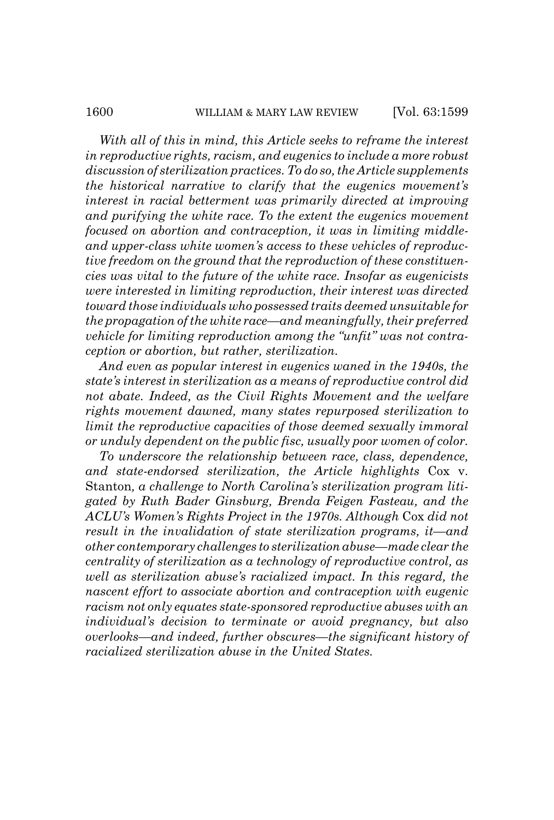*With all of this in mind, this Article seeks to reframe the interest in reproductive rights, racism, and eugenics to include a more robust discussion of sterilization practices. To do so, the Article supplements the historical narrative to clarify that the eugenics movement's interest in racial betterment was primarily directed at improving and purifying the white race. To the extent the eugenics movement focused on abortion and contraception, it was in limiting middle-*

*and upper-class white women's access to these vehicles of reproductive freedom on the ground that the reproduction of these constituencies was vital to the future of the white race. Insofar as eugenicists were interested in limiting reproduction, their interest was directed toward those individuals who possessed traits deemed unsuitable for the propagation of the white race—and meaningfully, their preferred vehicle for limiting reproduction among the "unfit" was not contraception or abortion, but rather, sterilization.*

*And even as popular interest in eugenics waned in the 1940s, the state's interest in sterilization as a means of reproductive control did not abate. Indeed, as the Civil Rights Movement and the welfare rights movement dawned, many states repurposed sterilization to limit the reproductive capacities of those deemed sexually immoral or unduly dependent on the public fisc, usually poor women of color.*

*To underscore the relationship between race, class, dependence, and state-endorsed sterilization, the Article highlights* Cox v. Stanton*, a challenge to North Carolina's sterilization program litigated by Ruth Bader Ginsburg, Brenda Feigen Fasteau, and the ACLU's Women's Rights Project in the 1970s. Although* Cox *did not result in the invalidation of state sterilization programs, it—and other contemporary challenges to sterilization abuse—made clear the centrality of sterilization as a technology of reproductive control, as well as sterilization abuse's racialized impact. In this regard, the nascent effort to associate abortion and contraception with eugenic racism not only equates state-sponsored reproductive abuses with an individual's decision to terminate or avoid pregnancy, but also overlooks—and indeed, further obscures—the significant history of racialized sterilization abuse in the United States.*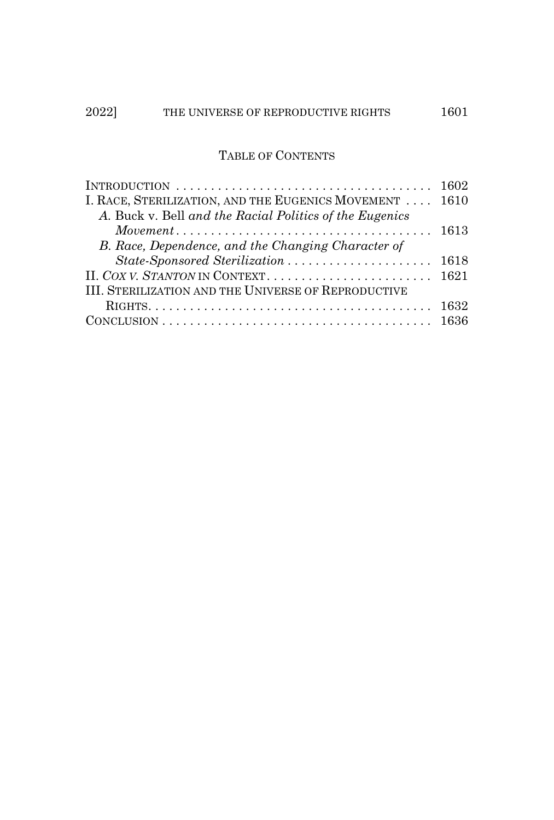# TABLE OF CONTENTS

| INTRODUCTION $\ldots \ldots \ldots \ldots \ldots \ldots \ldots \ldots \ldots \ldots \ldots \ldots 1602$ |  |
|---------------------------------------------------------------------------------------------------------|--|
| I. RACE, STERILIZATION, AND THE EUGENICS MOVEMENT 1610                                                  |  |
| A. Buck v. Bell and the Racial Politics of the Eugenics                                                 |  |
|                                                                                                         |  |
| B. Race, Dependence, and the Changing Character of                                                      |  |
| State-Sponsored Sterilization  1618                                                                     |  |
|                                                                                                         |  |
| III. STERILIZATION AND THE UNIVERSE OF REPRODUCTIVE                                                     |  |
|                                                                                                         |  |
|                                                                                                         |  |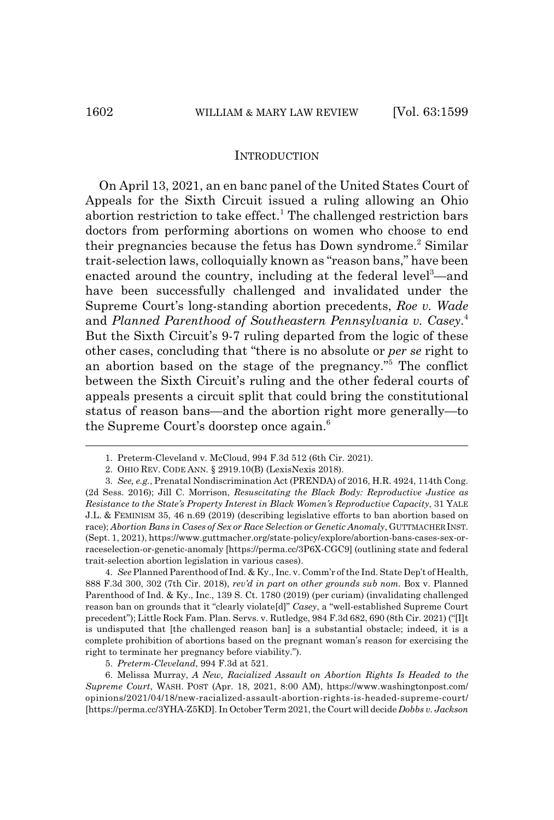#### **INTRODUCTION**

On April 13, 2021, an en banc panel of the United States Court of Appeals for the Sixth Circuit issued a ruling allowing an Ohio abortion restriction to take effect.<sup>1</sup> The challenged restriction bars doctors from performing abortions on women who choose to end their pregnancies because the fetus has Down syndrome.<sup>2</sup> Similar trait-selection laws, colloquially known as "reason bans," have been enacted around the country, including at the federal level<sup>3</sup>—and have been successfully challenged and invalidated under the Supreme Court's long-standing abortion precedents, *Roe v. Wade* and *Planned Parenthood of Southeastern Pennsylvania v. Casey*. 4 But the Sixth Circuit's 9-7 ruling departed from the logic of these other cases, concluding that "there is no absolute or *per se* right to an abortion based on the stage of the pregnancy."5 The conflict between the Sixth Circuit's ruling and the other federal courts of appeals presents a circuit split that could bring the constitutional status of reason bans—and the abortion right more generally—to the Supreme Court's doorstep once again.<sup>6</sup>

4. *See* Planned Parenthood of Ind. & Ky., Inc. v. Comm'r of the Ind. State Dep't of Health, 888 F.3d 300, 302 (7th Cir. 2018), *rev'd in part on other grounds sub nom.* Box v. Planned Parenthood of Ind. & Ky., Inc., 139 S. Ct. 1780 (2019) (per curiam) (invalidating challenged reason ban on grounds that it "clearly violate[d]" *Casey*, a "well-established Supreme Court precedent"); Little Rock Fam. Plan. Servs. v. Rutledge, 984 F.3d 682, 690 (8th Cir. 2021) ("[I]t is undisputed that [the challenged reason ban] is a substantial obstacle; indeed, it is a complete prohibition of abortions based on the pregnant woman's reason for exercising the right to terminate her pregnancy before viability.").

6. Melissa Murray, *A New, Racialized Assault on Abortion Rights Is Headed to the Supreme Court*, WASH. POST (Apr. 18, 2021, 8:00 AM), https://www.washingtonpost.com/ opinions/2021/04/18/new-racialized-assault-abortion-rights-is-headed-supreme-court/ [https://perma.cc/3YHA-Z5KD]. In October Term 2021, the Court will decide *Dobbs v. Jackson*

<sup>1.</sup> Preterm-Cleveland v. McCloud, 994 F.3d 512 (6th Cir. 2021).

<sup>2.</sup> OHIO REV. CODE ANN. § 2919.10(B) (LexisNexis 2018).

<sup>3.</sup> *See, e.g.*, Prenatal Nondiscrimination Act (PRENDA) of 2016, H.R. 4924, 114th Cong. (2d Sess. 2016); Jill C. Morrison, *Resuscitating the Black Body: Reproductive Justice as Resistance to the State's Property Interest in Black Women's Reproductive Capacity*, 31 YALE J.L. & FEMINISM 35, 46 n.69 (2019) (describing legislative efforts to ban abortion based on race); *Abortion Bans in Cases of Sex or Race Selection or Genetic Anomaly*, GUTTMACHER INST. (Sept. 1, 2021), https://www.guttmacher.org/state-policy/explore/abortion-bans-cases-sex-orraceselection-or-genetic-anomaly [https://perma.cc/3P6X-CGC9] (outlining state and federal trait-selection abortion legislation in various cases).

<sup>5.</sup> *Preterm-Cleveland*, 994 F.3d at 521.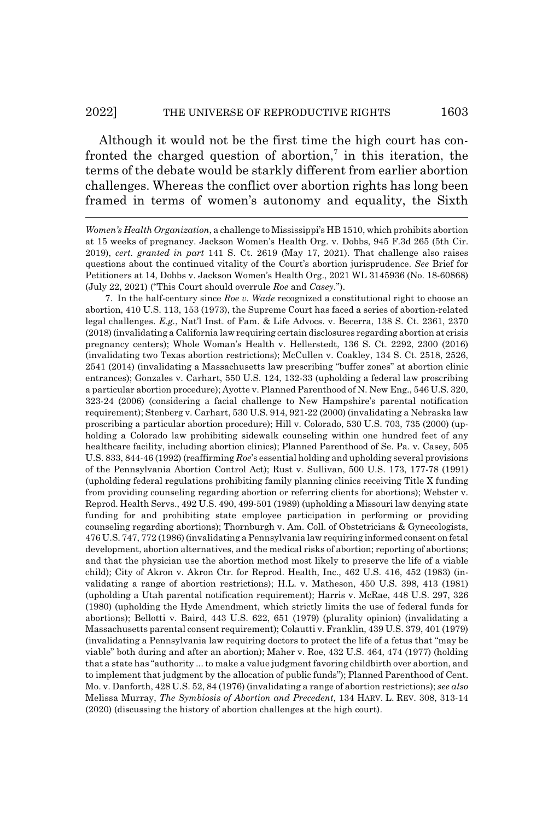#### 2022] THE UNIVERSE OF REPRODUCTIVE RIGHTS 1603

Although it would not be the first time the high court has confronted the charged question of abortion,<sup>7</sup> in this iteration, the terms of the debate would be starkly different from earlier abortion challenges. Whereas the conflict over abortion rights has long been framed in terms of women's autonomy and equality, the Sixth

7. In the half-century since *Roe v. Wade* recognized a constitutional right to choose an abortion, 410 U.S. 113, 153 (1973), the Supreme Court has faced a series of abortion-related legal challenges. *E.g.*, Nat'l Inst. of Fam. & Life Advocs. v. Becerra, 138 S. Ct. 2361, 2370 (2018) (invalidating a California law requiring certain disclosures regarding abortion at crisis pregnancy centers); Whole Woman's Health v. Hellerstedt, 136 S. Ct. 2292, 2300 (2016) (invalidating two Texas abortion restrictions); McCullen v. Coakley, 134 S. Ct. 2518, 2526, 2541 (2014) (invalidating a Massachusetts law prescribing "buffer zones" at abortion clinic entrances); Gonzales v. Carhart, 550 U.S. 124, 132-33 (upholding a federal law proscribing a particular abortion procedure); Ayotte v. Planned Parenthood of N. New Eng., 546 U.S. 320, 323-24 (2006) (considering a facial challenge to New Hampshire's parental notification requirement); Stenberg v. Carhart, 530 U.S. 914, 921-22 (2000) (invalidating a Nebraska law proscribing a particular abortion procedure); Hill v. Colorado, 530 U.S. 703, 735 (2000) (upholding a Colorado law prohibiting sidewalk counseling within one hundred feet of any healthcare facility, including abortion clinics); Planned Parenthood of Se. Pa. v. Casey, 505 U.S. 833, 844-46 (1992) (reaffirming *Roe*'s essential holding and upholding several provisions of the Pennsylvania Abortion Control Act); Rust v. Sullivan, 500 U.S. 173, 177-78 (1991) (upholding federal regulations prohibiting family planning clinics receiving Title X funding from providing counseling regarding abortion or referring clients for abortions); Webster v. Reprod. Health Servs., 492 U.S. 490, 499-501 (1989) (upholding a Missouri law denying state funding for and prohibiting state employee participation in performing or providing counseling regarding abortions); Thornburgh v. Am. Coll. of Obstetricians & Gynecologists, 476 U.S. 747, 772 (1986) (invalidating a Pennsylvania law requiring informed consent on fetal development, abortion alternatives, and the medical risks of abortion; reporting of abortions; and that the physician use the abortion method most likely to preserve the life of a viable child); City of Akron v. Akron Ctr. for Reprod. Health, Inc., 462 U.S. 416, 452 (1983) (invalidating a range of abortion restrictions); H.L. v. Matheson, 450 U.S. 398, 413 (1981) (upholding a Utah parental notification requirement); Harris v. McRae, 448 U.S. 297, 326 (1980) (upholding the Hyde Amendment, which strictly limits the use of federal funds for abortions); Bellotti v. Baird, 443 U.S. 622, 651 (1979) (plurality opinion) (invalidating a Massachusetts parental consent requirement); Colautti v. Franklin, 439 U.S. 379, 401 (1979) (invalidating a Pennsylvania law requiring doctors to protect the life of a fetus that "may be viable" both during and after an abortion); Maher v. Roe, 432 U.S. 464, 474 (1977) (holding that a state has "authority ... to make a value judgment favoring childbirth over abortion, and to implement that judgment by the allocation of public funds"); Planned Parenthood of Cent. Mo. v. Danforth, 428 U.S. 52, 84 (1976) (invalidating a range of abortion restrictions); *see also* Melissa Murray, *The Symbiosis of Abortion and Precedent*, 134 HARV. L. REV. 308, 313-14 (2020) (discussing the history of abortion challenges at the high court).

*Women's Health Organization*, a challenge to Mississippi's HB 1510, which prohibits abortion at 15 weeks of pregnancy. Jackson Women's Health Org. v. Dobbs, 945 F.3d 265 (5th Cir. 2019), *cert. granted in part* 141 S. Ct. 2619 (May 17, 2021). That challenge also raises questions about the continued vitality of the Court's abortion jurisprudence. *See* Brief for Petitioners at 14, Dobbs v. Jackson Women's Health Org., 2021 WL 3145936 (No. 18-60868) (July 22, 2021) ("This Court should overrule *Roe* and *Casey*.").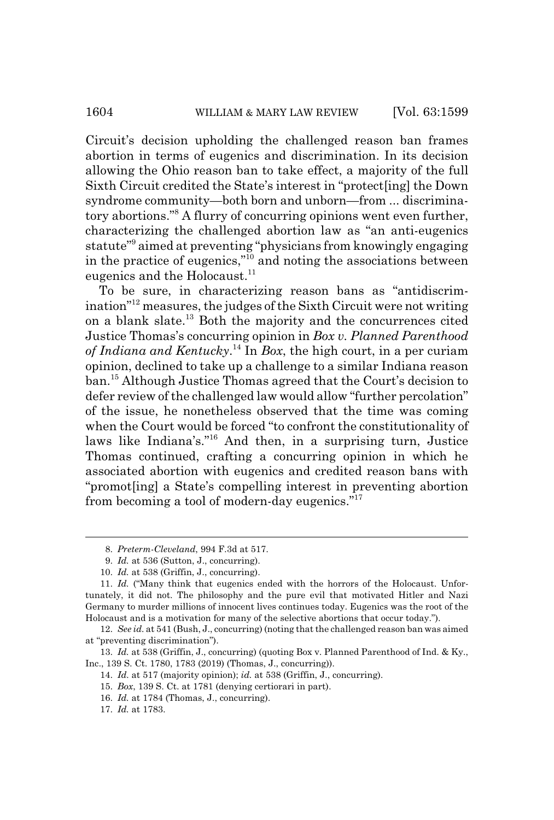Circuit's decision upholding the challenged reason ban frames abortion in terms of eugenics and discrimination. In its decision allowing the Ohio reason ban to take effect, a majority of the full Sixth Circuit credited the State's interest in "protect[ing] the Down syndrome community—both born and unborn—from ... discriminatory abortions."8 A flurry of concurring opinions went even further, characterizing the challenged abortion law as "an anti-eugenics statute"9 aimed at preventing "physicians from knowingly engaging in the practice of eugenics,"10 and noting the associations between eugenics and the Holocaust. $11$ 

To be sure, in characterizing reason bans as "antidiscrimination"12 measures, the judges of the Sixth Circuit were not writing on a blank slate.13 Both the majority and the concurrences cited Justice Thomas's concurring opinion in *Box v. Planned Parenthood of Indiana and Kentucky*. 14 In *Box*, the high court, in a per curiam opinion, declined to take up a challenge to a similar Indiana reason ban.15 Although Justice Thomas agreed that the Court's decision to defer review of the challenged law would allow "further percolation" of the issue, he nonetheless observed that the time was coming when the Court would be forced "to confront the constitutionality of laws like Indiana's."16 And then, in a surprising turn, Justice Thomas continued, crafting a concurring opinion in which he associated abortion with eugenics and credited reason bans with "promot[ing] a State's compelling interest in preventing abortion from becoming a tool of modern-day eugenics."17

<sup>8.</sup> *Preterm-Cleveland*, 994 F.3d at 517.

<sup>9.</sup> *Id.* at 536 (Sutton, J., concurring).

<sup>10.</sup> *Id.* at 538 (Griffin, J., concurring).

<sup>11.</sup> *Id.* ("Many think that eugenics ended with the horrors of the Holocaust. Unfortunately, it did not. The philosophy and the pure evil that motivated Hitler and Nazi Germany to murder millions of innocent lives continues today. Eugenics was the root of the Holocaust and is a motivation for many of the selective abortions that occur today.").

<sup>12.</sup> *See id.* at 541 (Bush, J., concurring) (noting that the challenged reason ban was aimed at "preventing discrimination").

<sup>13.</sup> *Id.* at 538 (Griffin, J., concurring) (quoting Box v. Planned Parenthood of Ind. & Ky., Inc., 139 S. Ct. 1780, 1783 (2019) (Thomas, J., concurring)).

<sup>14.</sup> *Id.* at 517 (majority opinion); *id.* at 538 (Griffin, J., concurring).

<sup>15.</sup> *Box*, 139 S. Ct. at 1781 (denying certiorari in part).

<sup>16.</sup> *Id.* at 1784 (Thomas, J., concurring).

<sup>17.</sup> *Id.* at 1783.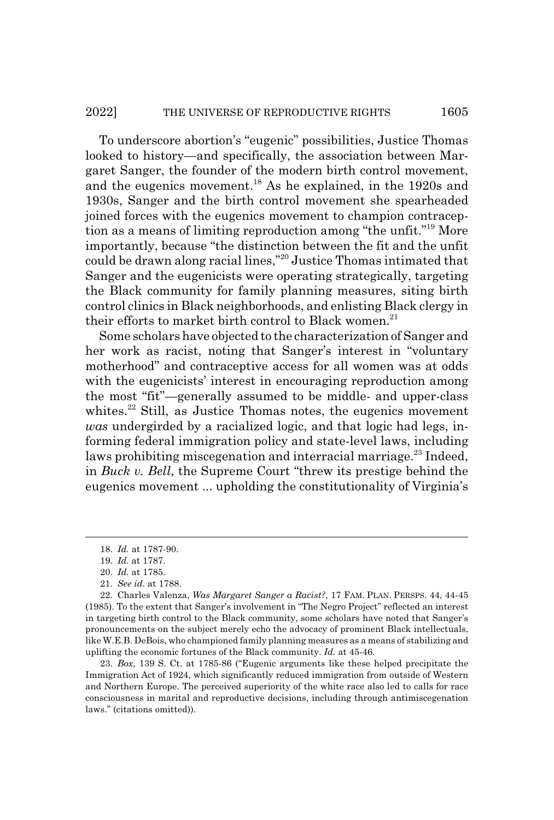#### 2022] THE UNIVERSE OF REPRODUCTIVE RIGHTS 1605

To underscore abortion's "eugenic" possibilities, Justice Thomas looked to history—and specifically, the association between Margaret Sanger, the founder of the modern birth control movement, and the eugenics movement.18 As he explained, in the 1920s and 1930s, Sanger and the birth control movement she spearheaded joined forces with the eugenics movement to champion contraception as a means of limiting reproduction among "the unfit."19 More importantly, because "the distinction between the fit and the unfit could be drawn along racial lines,"20 Justice Thomas intimated that Sanger and the eugenicists were operating strategically, targeting the Black community for family planning measures, siting birth control clinics in Black neighborhoods, and enlisting Black clergy in their efforts to market birth control to Black women.<sup>21</sup>

Some scholars have objected to the characterization of Sanger and her work as racist, noting that Sanger's interest in "voluntary motherhood" and contraceptive access for all women was at odds with the eugenicists' interest in encouraging reproduction among the most "fit"—generally assumed to be middle- and upper-class whites.<sup>22</sup> Still, as Justice Thomas notes, the eugenics movement *was* undergirded by a racialized logic, and that logic had legs, informing federal immigration policy and state-level laws, including laws prohibiting miscegenation and interracial marriage.<sup>23</sup> Indeed, in *Buck v. Bell*, the Supreme Court "threw its prestige behind the eugenics movement ... upholding the constitutionality of Virginia's

23. *Box*, 139 S. Ct. at 1785-86 ("Eugenic arguments like these helped precipitate the Immigration Act of 1924, which significantly reduced immigration from outside of Western and Northern Europe. The perceived superiority of the white race also led to calls for race consciousness in marital and reproductive decisions, including through antimiscegenation laws." (citations omitted)).

<sup>18.</sup> *Id.* at 1787-90.

<sup>19.</sup> *Id.* at 1787.

<sup>20.</sup> *Id.* at 1785.

<sup>21.</sup> *See id.* at 1788.

<sup>22.</sup> Charles Valenza, *Was Margaret Sanger a Racist?*, 17 FAM. PLAN. PERSPS. 44, 44-45 (1985). To the extent that Sanger's involvement in "The Negro Project" reflected an interest in targeting birth control to the Black community, some scholars have noted that Sanger's pronouncements on the subject merely echo the advocacy of prominent Black intellectuals, like W.E.B. DeBois, who championed family planning measures as a means of stabilizing and uplifting the economic fortunes of the Black community. *Id.* at 45-46.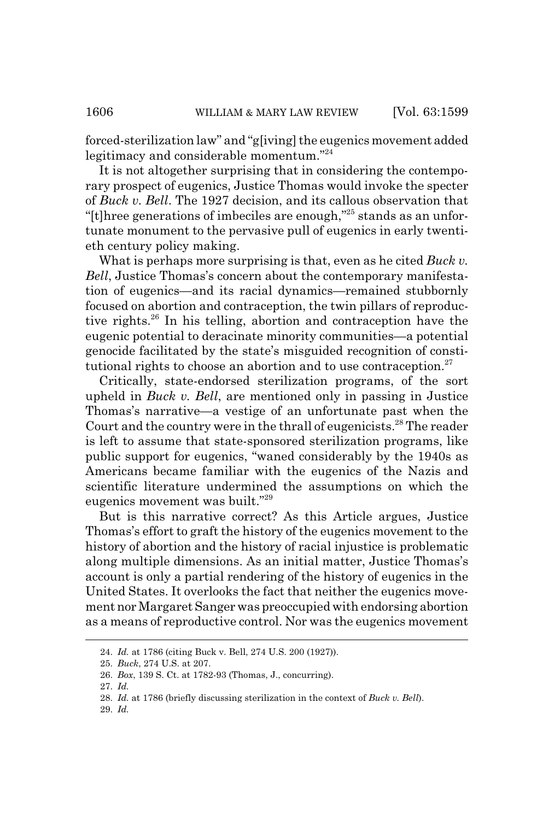forced-sterilization law" and "g[iving] the eugenics movement added legitimacy and considerable momentum."24

It is not altogether surprising that in considering the contemporary prospect of eugenics, Justice Thomas would invoke the specter of *Buck v. Bell*. The 1927 decision, and its callous observation that "[t] three generations of imbeciles are enough," $^{25}$  stands as an unfortunate monument to the pervasive pull of eugenics in early twentieth century policy making.

What is perhaps more surprising is that, even as he cited *Buck v. Bell*, Justice Thomas's concern about the contemporary manifestation of eugenics—and its racial dynamics—remained stubbornly focused on abortion and contraception, the twin pillars of reproductive rights.26 In his telling, abortion and contraception have the eugenic potential to deracinate minority communities—a potential genocide facilitated by the state's misguided recognition of constitutional rights to choose an abortion and to use contraception.<sup>27</sup>

Critically, state-endorsed sterilization programs, of the sort upheld in *Buck v. Bell*, are mentioned only in passing in Justice Thomas's narrative—a vestige of an unfortunate past when the Court and the country were in the thrall of eugenicists.<sup>28</sup> The reader is left to assume that state-sponsored sterilization programs, like public support for eugenics, "waned considerably by the 1940s as Americans became familiar with the eugenics of the Nazis and scientific literature undermined the assumptions on which the eugenics movement was built."29

But is this narrative correct? As this Article argues, Justice Thomas's effort to graft the history of the eugenics movement to the history of abortion and the history of racial injustice is problematic along multiple dimensions. As an initial matter, Justice Thomas's account is only a partial rendering of the history of eugenics in the United States. It overlooks the fact that neither the eugenics movement nor Margaret Sanger was preoccupied with endorsing abortion as a means of reproductive control. Nor was the eugenics movement

<sup>24.</sup> *Id.* at 1786 (citing Buck v. Bell, 274 U.S. 200 (1927)).

<sup>25.</sup> *Buck*, 274 U.S. at 207.

<sup>26.</sup> *Box*, 139 S. Ct. at 1782-93 (Thomas, J., concurring).

<sup>27.</sup> *Id.*

<sup>28.</sup> *Id.* at 1786 (briefly discussing sterilization in the context of *Buck v. Bell*).

<sup>29.</sup> *Id.*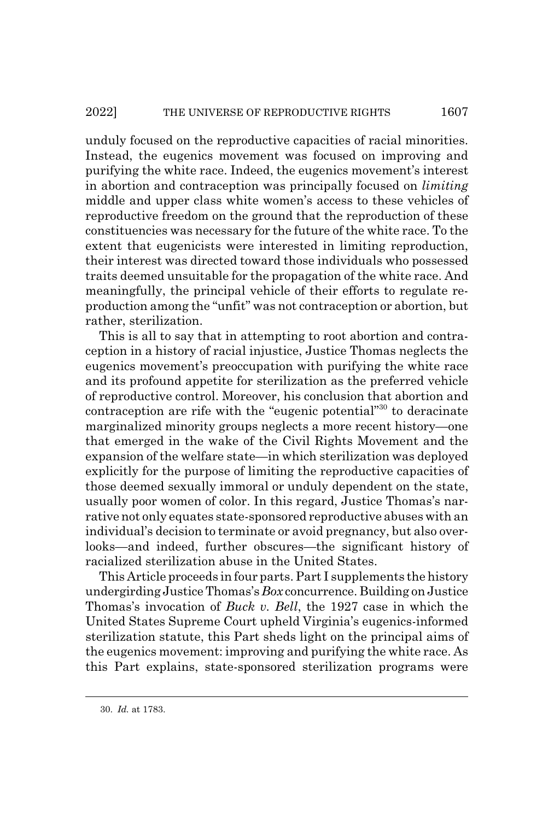unduly focused on the reproductive capacities of racial minorities. Instead, the eugenics movement was focused on improving and purifying the white race. Indeed, the eugenics movement's interest in abortion and contraception was principally focused on *limiting* middle and upper class white women's access to these vehicles of reproductive freedom on the ground that the reproduction of these constituencies was necessary for the future of the white race. To the extent that eugenicists were interested in limiting reproduction, their interest was directed toward those individuals who possessed traits deemed unsuitable for the propagation of the white race. And meaningfully, the principal vehicle of their efforts to regulate reproduction among the "unfit" was not contraception or abortion, but rather, sterilization.

This is all to say that in attempting to root abortion and contraception in a history of racial injustice, Justice Thomas neglects the eugenics movement's preoccupation with purifying the white race and its profound appetite for sterilization as the preferred vehicle of reproductive control. Moreover, his conclusion that abortion and contraception are rife with the "eugenic potential"30 to deracinate marginalized minority groups neglects a more recent history—one that emerged in the wake of the Civil Rights Movement and the expansion of the welfare state—in which sterilization was deployed explicitly for the purpose of limiting the reproductive capacities of those deemed sexually immoral or unduly dependent on the state, usually poor women of color. In this regard, Justice Thomas's narrative not only equates state-sponsored reproductive abuses with an individual's decision to terminate or avoid pregnancy, but also overlooks—and indeed, further obscures—the significant history of racialized sterilization abuse in the United States.

This Article proceeds in four parts. Part I supplements the history undergirding Justice Thomas's *Box* concurrence. Building on Justice Thomas's invocation of *Buck v. Bell*, the 1927 case in which the United States Supreme Court upheld Virginia's eugenics-informed sterilization statute, this Part sheds light on the principal aims of the eugenics movement: improving and purifying the white race. As this Part explains, state-sponsored sterilization programs were

<sup>30.</sup> *Id.* at 1783.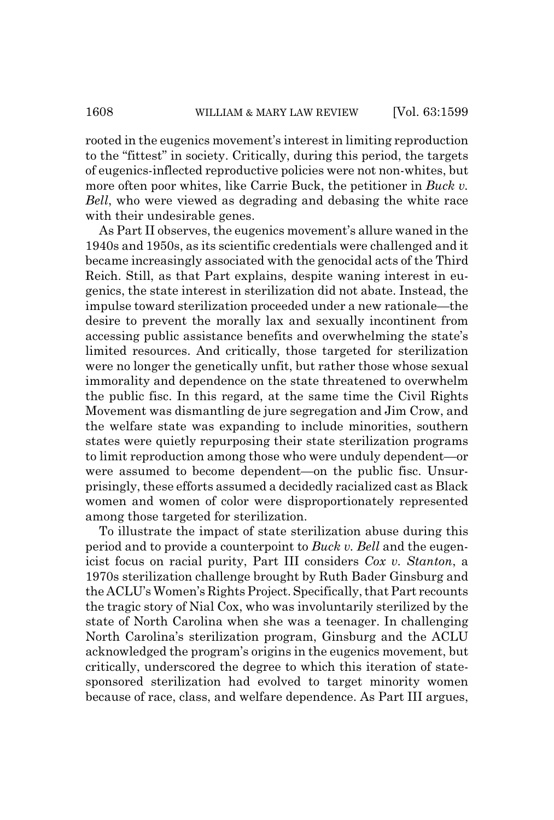rooted in the eugenics movement's interest in limiting reproduction to the "fittest" in society. Critically, during this period, the targets of eugenics-inflected reproductive policies were not non-whites, but more often poor whites, like Carrie Buck, the petitioner in *Buck v. Bell*, who were viewed as degrading and debasing the white race with their undesirable genes.

As Part II observes, the eugenics movement's allure waned in the 1940s and 1950s, as its scientific credentials were challenged and it became increasingly associated with the genocidal acts of the Third Reich. Still, as that Part explains, despite waning interest in eugenics, the state interest in sterilization did not abate. Instead, the impulse toward sterilization proceeded under a new rationale—the desire to prevent the morally lax and sexually incontinent from accessing public assistance benefits and overwhelming the state's limited resources. And critically, those targeted for sterilization were no longer the genetically unfit, but rather those whose sexual immorality and dependence on the state threatened to overwhelm the public fisc. In this regard, at the same time the Civil Rights Movement was dismantling de jure segregation and Jim Crow, and the welfare state was expanding to include minorities, southern states were quietly repurposing their state sterilization programs to limit reproduction among those who were unduly dependent—or were assumed to become dependent—on the public fisc. Unsurprisingly, these efforts assumed a decidedly racialized cast as Black women and women of color were disproportionately represented among those targeted for sterilization.

To illustrate the impact of state sterilization abuse during this period and to provide a counterpoint to *Buck v. Bell* and the eugenicist focus on racial purity, Part III considers *Cox v. Stanton*, a 1970s sterilization challenge brought by Ruth Bader Ginsburg and the ACLU's Women's Rights Project. Specifically, that Part recounts the tragic story of Nial Cox, who was involuntarily sterilized by the state of North Carolina when she was a teenager. In challenging North Carolina's sterilization program, Ginsburg and the ACLU acknowledged the program's origins in the eugenics movement, but critically, underscored the degree to which this iteration of statesponsored sterilization had evolved to target minority women because of race, class, and welfare dependence. As Part III argues,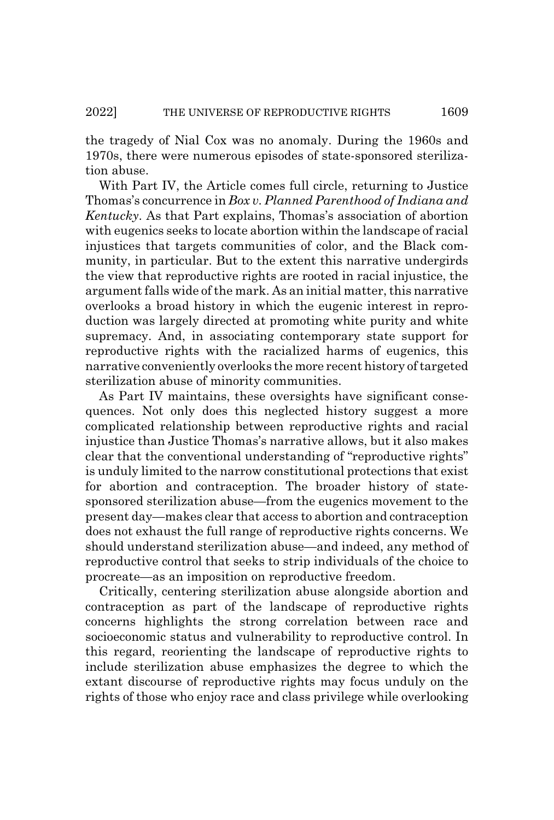the tragedy of Nial Cox was no anomaly. During the 1960s and 1970s, there were numerous episodes of state-sponsored sterilization abuse.

With Part IV, the Article comes full circle, returning to Justice Thomas's concurrence in *Box v. Planned Parenthood of Indiana and Kentucky*. As that Part explains, Thomas's association of abortion with eugenics seeks to locate abortion within the landscape of racial injustices that targets communities of color, and the Black community, in particular. But to the extent this narrative undergirds the view that reproductive rights are rooted in racial injustice, the argument falls wide of the mark. As an initial matter, this narrative overlooks a broad history in which the eugenic interest in reproduction was largely directed at promoting white purity and white supremacy. And, in associating contemporary state support for reproductive rights with the racialized harms of eugenics, this narrative conveniently overlooks the more recent history of targeted sterilization abuse of minority communities.

As Part IV maintains, these oversights have significant consequences. Not only does this neglected history suggest a more complicated relationship between reproductive rights and racial injustice than Justice Thomas's narrative allows, but it also makes clear that the conventional understanding of "reproductive rights" is unduly limited to the narrow constitutional protections that exist for abortion and contraception. The broader history of statesponsored sterilization abuse—from the eugenics movement to the present day—makes clear that access to abortion and contraception does not exhaust the full range of reproductive rights concerns. We should understand sterilization abuse—and indeed, any method of reproductive control that seeks to strip individuals of the choice to procreate—as an imposition on reproductive freedom.

Critically, centering sterilization abuse alongside abortion and contraception as part of the landscape of reproductive rights concerns highlights the strong correlation between race and socioeconomic status and vulnerability to reproductive control. In this regard, reorienting the landscape of reproductive rights to include sterilization abuse emphasizes the degree to which the extant discourse of reproductive rights may focus unduly on the rights of those who enjoy race and class privilege while overlooking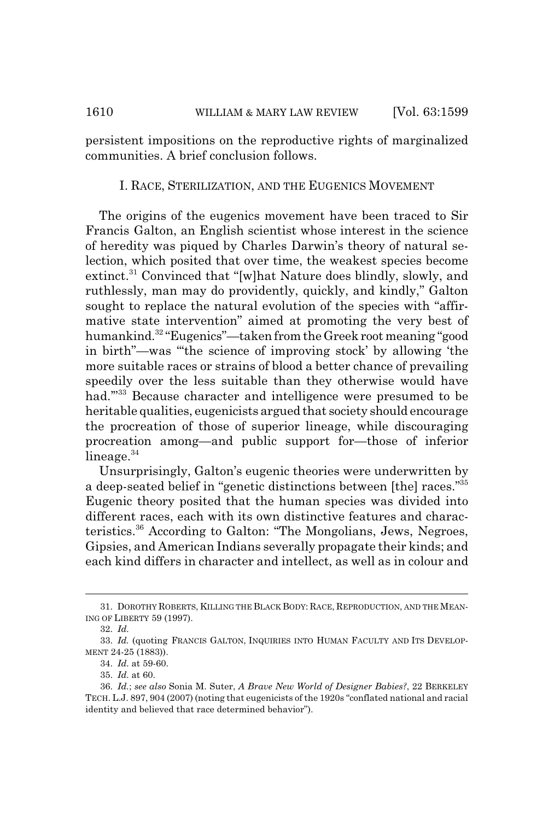persistent impositions on the reproductive rights of marginalized communities. A brief conclusion follows.

## I. RACE, STERILIZATION, AND THE EUGENICS MOVEMENT

The origins of the eugenics movement have been traced to Sir Francis Galton, an English scientist whose interest in the science of heredity was piqued by Charles Darwin's theory of natural selection, which posited that over time, the weakest species become extinct.<sup>31</sup> Convinced that "[w]hat Nature does blindly, slowly, and ruthlessly, man may do providently, quickly, and kindly," Galton sought to replace the natural evolution of the species with "affirmative state intervention" aimed at promoting the very best of humankind.<sup>32</sup> "Eugenics"—taken from the Greek root meaning "good in birth"—was "'the science of improving stock' by allowing 'the more suitable races or strains of blood a better chance of prevailing speedily over the less suitable than they otherwise would have had."<sup>33</sup> Because character and intelligence were presumed to be heritable qualities, eugenicists argued that society should encourage the procreation of those of superior lineage, while discouraging procreation among—and public support for—those of inferior lineage. $34$ 

Unsurprisingly, Galton's eugenic theories were underwritten by a deep-seated belief in "genetic distinctions between [the] races."35 Eugenic theory posited that the human species was divided into different races, each with its own distinctive features and characteristics.36 According to Galton: "The Mongolians, Jews, Negroes, Gipsies, and American Indians severally propagate their kinds; and each kind differs in character and intellect, as well as in colour and

<sup>31.</sup> DOROTHY ROBERTS, KILLING THE BLACK BODY: RACE, REPRODUCTION, AND THE MEAN-ING OF LIBERTY 59 (1997).

<sup>32.</sup> *Id.*

<sup>33.</sup> *Id.* (quoting FRANCIS GALTON, INQUIRIES INTO HUMAN FACULTY AND ITS DEVELOP-MENT 24-25 (1883)).

<sup>34.</sup> *Id.* at 59-60.

<sup>35.</sup> *Id.* at 60.

<sup>36.</sup> *Id.*; *see also* Sonia M. Suter, *A Brave New World of Designer Babies?*, 22 BERKELEY TECH. L.J. 897, 904 (2007) (noting that eugenicists of the 1920s "conflated national and racial identity and believed that race determined behavior").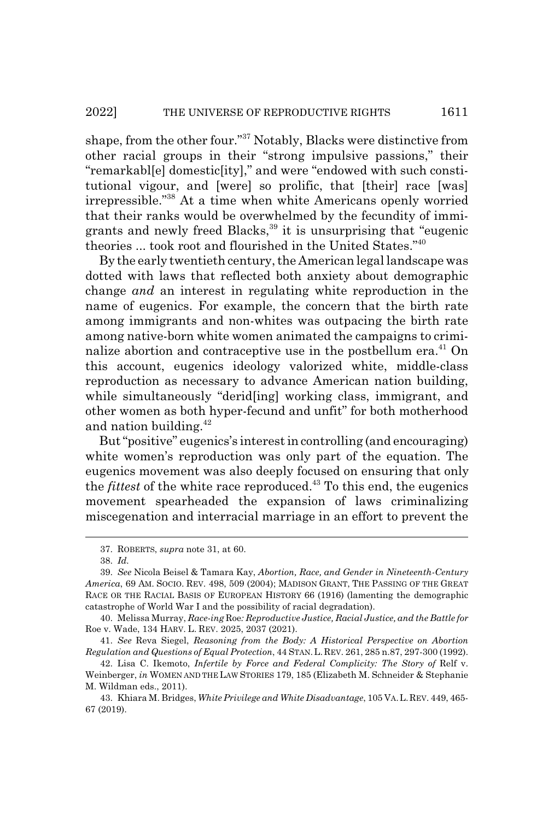shape, from the other four."37 Notably, Blacks were distinctive from other racial groups in their "strong impulsive passions," their "remarkabl[e] domestic[ity]," and were "endowed with such constitutional vigour, and [were] so prolific, that [their] race [was] irrepressible."38 At a time when white Americans openly worried that their ranks would be overwhelmed by the fecundity of immigrants and newly freed Blacks,<sup>39</sup> it is unsurprising that "eugenic theories ... took root and flourished in the United States."40

By the early twentieth century, the American legal landscape was dotted with laws that reflected both anxiety about demographic change *and* an interest in regulating white reproduction in the name of eugenics. For example, the concern that the birth rate among immigrants and non-whites was outpacing the birth rate among native-born white women animated the campaigns to criminalize abortion and contraceptive use in the postbellum era.<sup>41</sup> On this account, eugenics ideology valorized white, middle-class reproduction as necessary to advance American nation building, while simultaneously "derid<sup>[ing]</sup> working class, immigrant, and other women as both hyper-fecund and unfit" for both motherhood and nation building. $42$ 

But "positive" eugenics's interest in controlling (and encouraging) white women's reproduction was only part of the equation. The eugenics movement was also deeply focused on ensuring that only the *fittest* of the white race reproduced.43 To this end, the eugenics movement spearheaded the expansion of laws criminalizing miscegenation and interracial marriage in an effort to prevent the

<sup>37.</sup> ROBERTS, *supra* note 31, at 60.

<sup>38.</sup> *Id.*

<sup>39.</sup> *See* Nicola Beisel & Tamara Kay, *Abortion, Race, and Gender in Nineteenth-Century America*, 69 AM. SOCIO. REV. 498, 509 (2004); MADISON GRANT, THE PASSING OF THE GREAT RACE OR THE RACIAL BASIS OF EUROPEAN HISTORY 66 (1916) (lamenting the demographic catastrophe of World War I and the possibility of racial degradation).

<sup>40.</sup> Melissa Murray, *Race-ing* Roe*: Reproductive Justice, Racial Justice, and the Battle for* Roe v. Wade, 134 HARV. L. REV. 2025, 2037 (2021).

<sup>41.</sup> *See* Reva Siegel, *Reasoning from the Body: A Historical Perspective on Abortion Regulation and Questions of Equal Protection*, 44 STAN.L.REV. 261, 285 n.87, 297-300 (1992).

<sup>42.</sup> Lisa C. Ikemoto, *Infertile by Force and Federal Complicity: The Story of* Relf v. Weinberger, *in* WOMEN AND THE LAW STORIES 179, 185 (Elizabeth M. Schneider & Stephanie M. Wildman eds., 2011).

<sup>43.</sup> Khiara M. Bridges, *White Privilege and White Disadvantage*, 105 VA.L.REV. 449, 465- 67 (2019).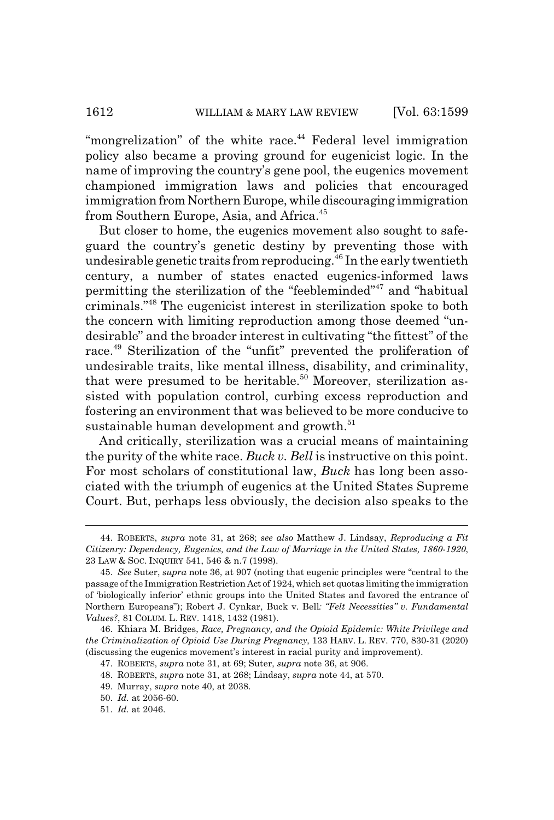"mongrelization" of the white race. $44$  Federal level immigration policy also became a proving ground for eugenicist logic. In the name of improving the country's gene pool, the eugenics movement championed immigration laws and policies that encouraged immigration from Northern Europe, while discouraging immigration from Southern Europe, Asia, and Africa.<sup>45</sup>

But closer to home, the eugenics movement also sought to safeguard the country's genetic destiny by preventing those with undesirable genetic traits from reproducing.<sup>46</sup> In the early twentieth century, a number of states enacted eugenics-informed laws permitting the sterilization of the "feebleminded"<sup>47</sup> and "habitual criminals."48 The eugenicist interest in sterilization spoke to both the concern with limiting reproduction among those deemed "undesirable" and the broader interest in cultivating "the fittest" of the race.49 Sterilization of the "unfit" prevented the proliferation of undesirable traits, like mental illness, disability, and criminality, that were presumed to be heritable.<sup>50</sup> Moreover, sterilization assisted with population control, curbing excess reproduction and fostering an environment that was believed to be more conducive to sustainable human development and growth.<sup>51</sup>

And critically, sterilization was a crucial means of maintaining the purity of the white race. *Buck v. Bell* is instructive on this point. For most scholars of constitutional law, *Buck* has long been associated with the triumph of eugenics at the United States Supreme Court. But, perhaps less obviously, the decision also speaks to the

<sup>44.</sup> ROBERTS, *supra* note 31, at 268; *see also* Matthew J. Lindsay, *Reproducing a Fit Citizenry: Dependency, Eugenics, and the Law of Marriage in the United States, 1860-1920*, 23 LAW & SOC. INQUIRY 541, 546 & n.7 (1998).

<sup>45.</sup> *See* Suter, *supra* note 36, at 907 (noting that eugenic principles were "central to the passage of the Immigration Restriction Act of 1924, which set quotas limiting the immigration of 'biologically inferior' ethnic groups into the United States and favored the entrance of Northern Europeans"); Robert J. Cynkar, Buck v. Bell*: "Felt Necessities" v. Fundamental Values?*, 81 COLUM. L. REV. 1418, 1432 (1981).

<sup>46.</sup> Khiara M. Bridges, *Race, Pregnancy, and the Opioid Epidemic: White Privilege and the Criminalization of Opioid Use During Pregnancy*, 133 HARV. L. REV. 770, 830-31 (2020) (discussing the eugenics movement's interest in racial purity and improvement).

<sup>47.</sup> ROBERTS, *supra* note 31, at 69; Suter, *supra* note 36, at 906.

<sup>48.</sup> ROBERTS, *supra* note 31, at 268; Lindsay, *supra* note 44, at 570.

<sup>49.</sup> Murray, *supra* note 40, at 2038.

<sup>50.</sup> *Id.* at 2056-60.

<sup>51.</sup> *Id.* at 2046.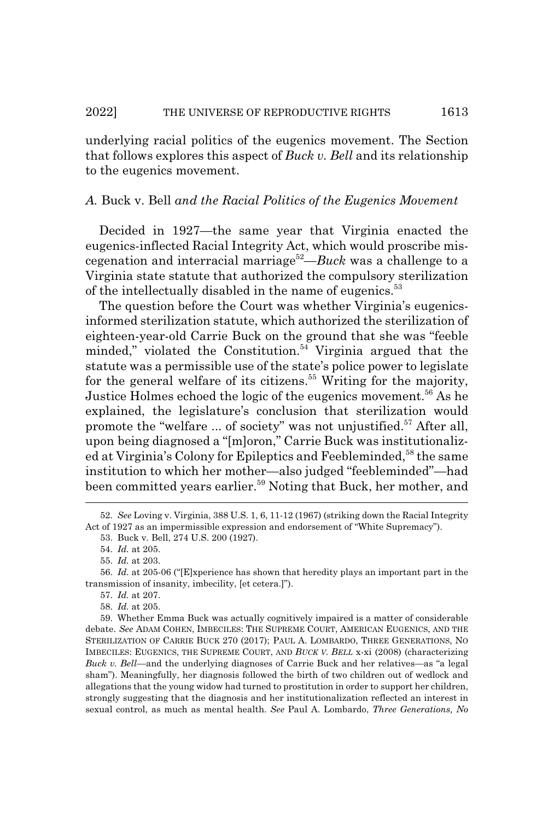underlying racial politics of the eugenics movement. The Section that follows explores this aspect of *Buck v. Bell* and its relationship to the eugenics movement.

# *A.* Buck v. Bell *and the Racial Politics of the Eugenics Movement*

Decided in 1927—the same year that Virginia enacted the eugenics-inflected Racial Integrity Act, which would proscribe miscegenation and interracial marriage52—*Buck* was a challenge to a Virginia state statute that authorized the compulsory sterilization of the intellectually disabled in the name of eugenics.<sup>53</sup>

The question before the Court was whether Virginia's eugenicsinformed sterilization statute, which authorized the sterilization of eighteen-year-old Carrie Buck on the ground that she was "feeble minded," violated the Constitution. $54$  Virginia argued that the statute was a permissible use of the state's police power to legislate for the general welfare of its citizens.<sup>55</sup> Writing for the majority, Justice Holmes echoed the logic of the eugenics movement.<sup>56</sup> As he explained, the legislature's conclusion that sterilization would promote the "welfare ... of society" was not unjustified.<sup>57</sup> After all, upon being diagnosed a "[m]oron," Carrie Buck was institutionalized at Virginia's Colony for Epileptics and Feebleminded,<sup>58</sup> the same institution to which her mother—also judged "feebleminded"—had been committed years earlier.<sup>59</sup> Noting that Buck, her mother, and

56. *Id.* at 205-06 ("[E]xperience has shown that heredity plays an important part in the transmission of insanity, imbecility, [et cetera.]").

59. Whether Emma Buck was actually cognitively impaired is a matter of considerable debate. *See* ADAM COHEN, IMBECILES: THE SUPREME COURT, AMERICAN EUGENICS, AND THE STERILIZATION OF CARRIE BUCK 270 (2017); PAUL A. LOMBARDO, THREE GENERATIONS, NO IMBECILES: EUGENICS, THE SUPREME COURT, AND *BUCK V. BELL* x-xi (2008) (characterizing *Buck v. Bell*—and the underlying diagnoses of Carrie Buck and her relatives—as "a legal sham"). Meaningfully, her diagnosis followed the birth of two children out of wedlock and allegations that the young widow had turned to prostitution in order to support her children, strongly suggesting that the diagnosis and her institutionalization reflected an interest in sexual control, as much as mental health. *See* Paul A. Lombardo, *Three Generations, No*

<sup>52.</sup> *See* Loving v. Virginia, 388 U.S. 1, 6, 11-12 (1967) (striking down the Racial Integrity Act of 1927 as an impermissible expression and endorsement of "White Supremacy").

<sup>53.</sup> Buck v. Bell, 274 U.S. 200 (1927).

<sup>54.</sup> *Id.* at 205.

<sup>55.</sup> *Id.* at 203.

<sup>57.</sup> *Id.* at 207.

<sup>58.</sup> *Id.* at 205.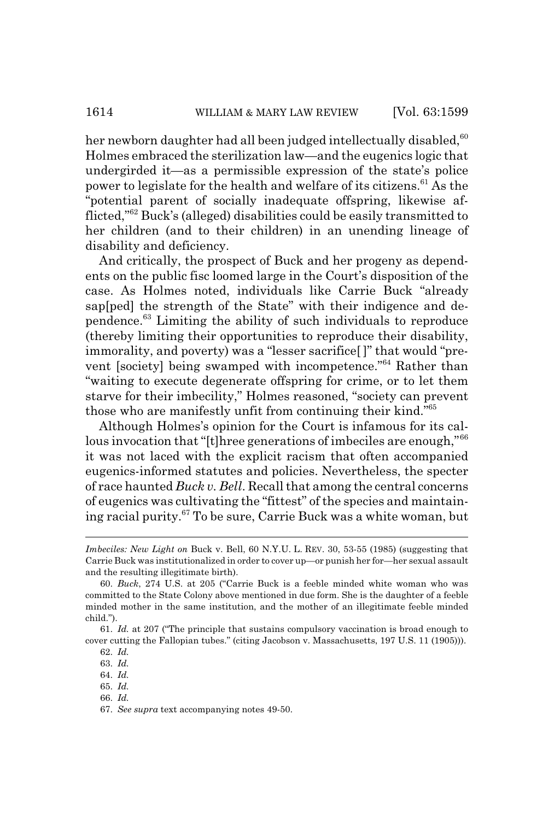her newborn daughter had all been judged intellectually disabled,  $60$ Holmes embraced the sterilization law—and the eugenics logic that undergirded it—as a permissible expression of the state's police power to legislate for the health and welfare of its citizens.<sup>61</sup> As the "potential parent of socially inadequate offspring, likewise afflicted,"62 Buck's (alleged) disabilities could be easily transmitted to her children (and to their children) in an unending lineage of disability and deficiency.

And critically, the prospect of Buck and her progeny as dependents on the public fisc loomed large in the Court's disposition of the case. As Holmes noted, individuals like Carrie Buck "already sap[ped] the strength of the State" with their indigence and dependence.63 Limiting the ability of such individuals to reproduce (thereby limiting their opportunities to reproduce their disability, immorality, and poverty) was a "lesser sacrifice[ ]" that would "prevent [society] being swamped with incompetence."64 Rather than "waiting to execute degenerate offspring for crime, or to let them starve for their imbecility," Holmes reasoned, "society can prevent those who are manifestly unfit from continuing their kind."65

Although Holmes's opinion for the Court is infamous for its callous invocation that "[t]hree generations of imbeciles are enough,"<sup>66</sup> it was not laced with the explicit racism that often accompanied eugenics-informed statutes and policies. Nevertheless, the specter of race haunted *Buck v. Bell*. Recall that among the central concerns of eugenics was cultivating the "fittest" of the species and maintaining racial purity.67 To be sure, Carrie Buck was a white woman, but

*Imbeciles: New Light on* Buck v. Bell, 60 N.Y.U. L. REV. 30, 53-55 (1985) (suggesting that Carrie Buck was institutionalized in order to cover up—or punish her for—her sexual assault and the resulting illegitimate birth).

<sup>60.</sup> *Buck*, 274 U.S. at 205 ("Carrie Buck is a feeble minded white woman who was committed to the State Colony above mentioned in due form. She is the daughter of a feeble minded mother in the same institution, and the mother of an illegitimate feeble minded child.").

<sup>61.</sup> *Id.* at 207 ("The principle that sustains compulsory vaccination is broad enough to cover cutting the Fallopian tubes." (citing Jacobson v. Massachusetts, 197 U.S. 11 (1905))).

<sup>62.</sup> *Id.*

<sup>63.</sup> *Id.*

<sup>64.</sup> *Id.*

<sup>65.</sup> *Id.*

<sup>66.</sup> *Id.*

<sup>67.</sup> *See supra* text accompanying notes 49-50.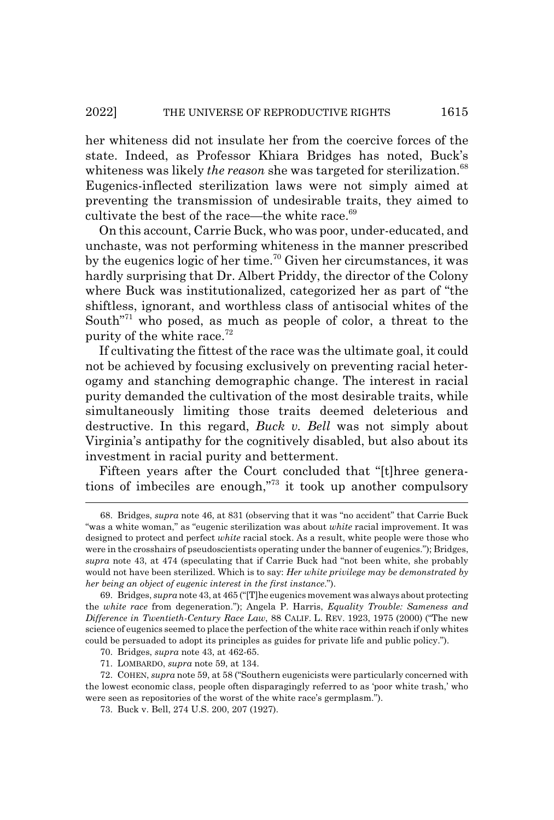her whiteness did not insulate her from the coercive forces of the state. Indeed, as Professor Khiara Bridges has noted, Buck's whiteness was likely *the reason* she was targeted for sterilization.<sup>68</sup> Eugenics-inflected sterilization laws were not simply aimed at preventing the transmission of undesirable traits, they aimed to cultivate the best of the race—the white race. $69$ 

On this account, Carrie Buck, who was poor, under-educated, and unchaste, was not performing whiteness in the manner prescribed by the eugenics logic of her time.<sup>70</sup> Given her circumstances, it was hardly surprising that Dr. Albert Priddy, the director of the Colony where Buck was institutionalized, categorized her as part of "the shiftless, ignorant, and worthless class of antisocial whites of the South"71 who posed, as much as people of color, a threat to the purity of the white race. $72$ 

If cultivating the fittest of the race was the ultimate goal, it could not be achieved by focusing exclusively on preventing racial heterogamy and stanching demographic change. The interest in racial purity demanded the cultivation of the most desirable traits, while simultaneously limiting those traits deemed deleterious and destructive. In this regard, *Buck v. Bell* was not simply about Virginia's antipathy for the cognitively disabled, but also about its investment in racial purity and betterment.

Fifteen years after the Court concluded that "[t]hree generations of imbeciles are enough,"73 it took up another compulsory

<sup>68.</sup> Bridges, *supra* note 46, at 831 (observing that it was "no accident" that Carrie Buck "was a white woman," as "eugenic sterilization was about *white* racial improvement. It was designed to protect and perfect *white* racial stock. As a result, white people were those who were in the crosshairs of pseudoscientists operating under the banner of eugenics."); Bridges, *supra* note 43, at 474 (speculating that if Carrie Buck had "not been white, she probably would not have been sterilized. Which is to say: *Her white privilege may be demonstrated by her being an object of eugenic interest in the first instance*.").

<sup>69.</sup> Bridges, *supra* note 43, at 465 ("[T]he eugenics movement was always about protecting the *white race* from degeneration."); Angela P. Harris, *Equality Trouble: Sameness and Difference in Twentieth-Century Race Law*, 88 CALIF. L. REV. 1923, 1975 (2000) ("The new science of eugenics seemed to place the perfection of the white race within reach if only whites could be persuaded to adopt its principles as guides for private life and public policy.").

<sup>70.</sup> Bridges, *supra* note 43, at 462-65.

<sup>71.</sup> LOMBARDO, *supra* note 59, at 134.

<sup>72.</sup> COHEN, *supra* note 59, at 58 ("Southern eugenicists were particularly concerned with the lowest economic class, people often disparagingly referred to as 'poor white trash,' who were seen as repositories of the worst of the white race's germplasm.").

<sup>73.</sup> Buck v. Bell, 274 U.S. 200, 207 (1927).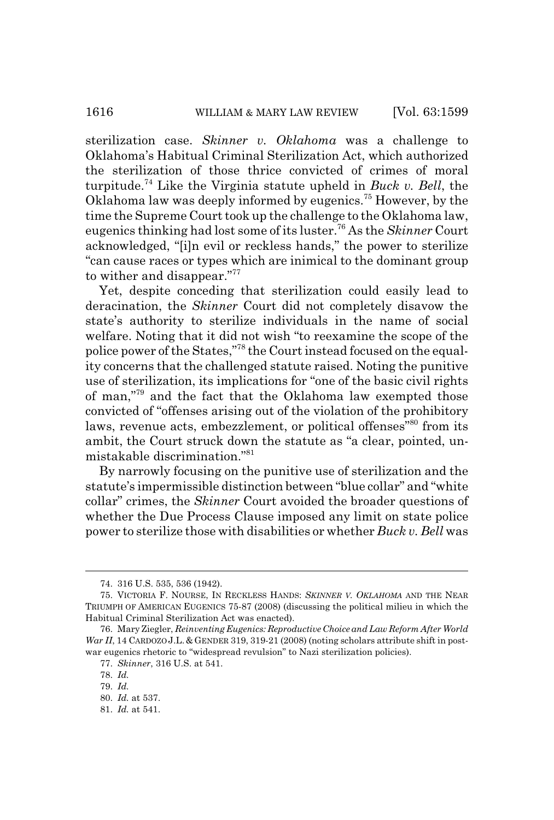sterilization case. *Skinner v. Oklahoma* was a challenge to Oklahoma's Habitual Criminal Sterilization Act, which authorized the sterilization of those thrice convicted of crimes of moral turpitude.74 Like the Virginia statute upheld in *Buck v. Bell*, the Oklahoma law was deeply informed by eugenics.75 However, by the time the Supreme Court took up the challenge to the Oklahoma law, eugenics thinking had lost some of its luster.76 As the *Skinner* Court acknowledged, "[i]n evil or reckless hands," the power to sterilize "can cause races or types which are inimical to the dominant group to wither and disappear."<sup>77</sup>

Yet, despite conceding that sterilization could easily lead to deracination, the *Skinner* Court did not completely disavow the state's authority to sterilize individuals in the name of social welfare. Noting that it did not wish "to reexamine the scope of the police power of the States,"78 the Court instead focused on the equality concerns that the challenged statute raised. Noting the punitive use of sterilization, its implications for "one of the basic civil rights of man,"79 and the fact that the Oklahoma law exempted those convicted of "offenses arising out of the violation of the prohibitory laws, revenue acts, embezzlement, or political offenses<sup>"80</sup> from its ambit, the Court struck down the statute as "a clear, pointed, unmistakable discrimination."81

By narrowly focusing on the punitive use of sterilization and the statute's impermissible distinction between "blue collar" and "white collar" crimes, the *Skinner* Court avoided the broader questions of whether the Due Process Clause imposed any limit on state police power to sterilize those with disabilities or whether *Buck v. Bell* was

<sup>74. 316</sup> U.S. 535, 536 (1942).

<sup>75.</sup> VICTORIA F. NOURSE, IN RECKLESS HANDS: *SKINNER V. OKLAHOMA* AND THE NEAR TRIUMPH OF AMERICAN EUGENICS 75-87 (2008) (discussing the political milieu in which the Habitual Criminal Sterilization Act was enacted).

<sup>76.</sup> Mary Ziegler, *Reinventing Eugenics: Reproductive Choice and Law Reform After World War II*, 14 CARDOZO J.L. & GENDER 319, 319-21 (2008) (noting scholars attribute shift in postwar eugenics rhetoric to "widespread revulsion" to Nazi sterilization policies).

<sup>77.</sup> *Skinner*, 316 U.S. at 541.

<sup>78.</sup> *Id.*

<sup>79.</sup> *Id.*

<sup>80.</sup> *Id.* at 537.

<sup>81.</sup> *Id.* at 541.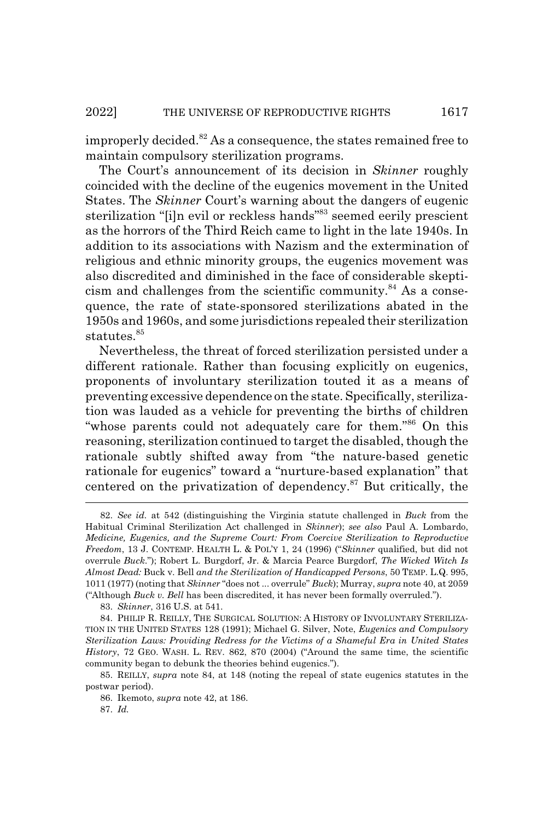improperly decided.<sup>82</sup> As a consequence, the states remained free to maintain compulsory sterilization programs.

The Court's announcement of its decision in *Skinner* roughly coincided with the decline of the eugenics movement in the United States. The *Skinner* Court's warning about the dangers of eugenic sterilization "[i]n evil or reckless hands"83 seemed eerily prescient as the horrors of the Third Reich came to light in the late 1940s. In addition to its associations with Nazism and the extermination of religious and ethnic minority groups, the eugenics movement was also discredited and diminished in the face of considerable skepticism and challenges from the scientific community. $84$  As a consequence, the rate of state-sponsored sterilizations abated in the 1950s and 1960s, and some jurisdictions repealed their sterilization statutes.<sup>85</sup>

Nevertheless, the threat of forced sterilization persisted under a different rationale. Rather than focusing explicitly on eugenics, proponents of involuntary sterilization touted it as a means of preventing excessive dependence on the state. Specifically, sterilization was lauded as a vehicle for preventing the births of children "whose parents could not adequately care for them."86 On this reasoning, sterilization continued to target the disabled, though the rationale subtly shifted away from "the nature-based genetic rationale for eugenics" toward a "nurture-based explanation" that centered on the privatization of dependency.87 But critically, the

83. *Skinner*, 316 U.S. at 541.

<sup>82.</sup> *See id.* at 542 (distinguishing the Virginia statute challenged in *Buck* from the Habitual Criminal Sterilization Act challenged in *Skinner*); *see also* Paul A. Lombardo, *Medicine, Eugenics, and the Supreme Court: From Coercive Sterilization to Reproductive Freedom*, 13 J. CONTEMP. HEALTH L. & POL'Y 1, 24 (1996) ("*Skinner* qualified, but did not overrule *Buck*."); Robert L. Burgdorf, Jr. & Marcia Pearce Burgdorf, *The Wicked Witch Is Almost Dead:* Buck v. Bell *and the Sterilization of Handicapped Persons*, 50 TEMP. L.Q. 995, 1011 (1977) (noting that *Skinner* "does not ... overrule" *Buck*); Murray, *supra* note 40, at 2059 ("Although *Buck v. Bell* has been discredited, it has never been formally overruled.").

<sup>84.</sup> PHILIP R. REILLY, THE SURGICAL SOLUTION:AHISTORY OF INVOLUNTARY STERILIZA-TION IN THE UNITED STATES 128 (1991); Michael G. Silver, Note, *Eugenics and Compulsory Sterilization Laws: Providing Redress for the Victims of a Shameful Era in United States History*, 72 GEO. WASH. L. REV. 862, 870 (2004) ("Around the same time, the scientific community began to debunk the theories behind eugenics.").

<sup>85.</sup> REILLY, *supra* note 84, at 148 (noting the repeal of state eugenics statutes in the postwar period).

<sup>86.</sup> Ikemoto, *supra* note 42, at 186.

<sup>87.</sup> *Id.*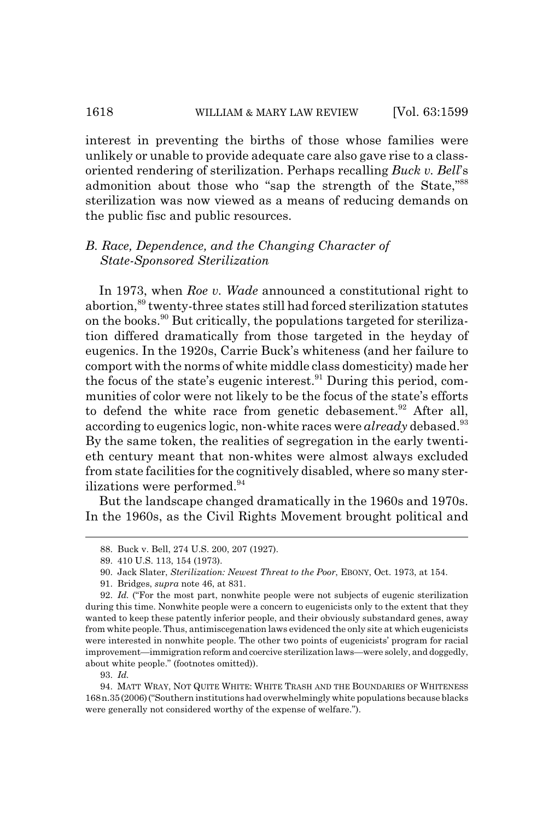interest in preventing the births of those whose families were unlikely or unable to provide adequate care also gave rise to a classoriented rendering of sterilization. Perhaps recalling *Buck v. Bell*'s admonition about those who "sap the strength of the State,"<sup>88</sup> sterilization was now viewed as a means of reducing demands on the public fisc and public resources.

# *B. Race, Dependence, and the Changing Character of State-Sponsored Sterilization*

In 1973, when *Roe v. Wade* announced a constitutional right to abortion,89 twenty-three states still had forced sterilization statutes on the books.90 But critically, the populations targeted for sterilization differed dramatically from those targeted in the heyday of eugenics. In the 1920s, Carrie Buck's whiteness (and her failure to comport with the norms of white middle class domesticity) made her the focus of the state's eugenic interest. $91$  During this period, communities of color were not likely to be the focus of the state's efforts to defend the white race from genetic debasement.<sup>92</sup> After all, according to eugenics logic, non-white races were *already* debased.<sup>93</sup> By the same token, the realities of segregation in the early twentieth century meant that non-whites were almost always excluded from state facilities for the cognitively disabled, where so many sterilizations were performed.<sup>94</sup>

But the landscape changed dramatically in the 1960s and 1970s. In the 1960s, as the Civil Rights Movement brought political and

<sup>88.</sup> Buck v. Bell, 274 U.S. 200, 207 (1927).

<sup>89. 410</sup> U.S. 113, 154 (1973).

<sup>90.</sup> Jack Slater, *Sterilization: Newest Threat to the Poor*, EBONY, Oct. 1973, at 154.

<sup>91.</sup> Bridges, *supra* note 46, at 831.

<sup>92.</sup> *Id.* ("For the most part, nonwhite people were not subjects of eugenic sterilization during this time. Nonwhite people were a concern to eugenicists only to the extent that they wanted to keep these patently inferior people, and their obviously substandard genes, away from white people. Thus, antimiscegenation laws evidenced the only site at which eugenicists were interested in nonwhite people. The other two points of eugenicists' program for racial improvement—immigration reform and coercive sterilization laws—were solely, and doggedly, about white people." (footnotes omitted)).

<sup>93.</sup> *Id.*

<sup>94.</sup> MATT WRAY, NOT QUITE WHITE: WHITE TRASH AND THE BOUNDARIES OF WHITENESS 168n.35(2006)("Southern institutions had overwhelmingly white populations because blacks were generally not considered worthy of the expense of welfare.").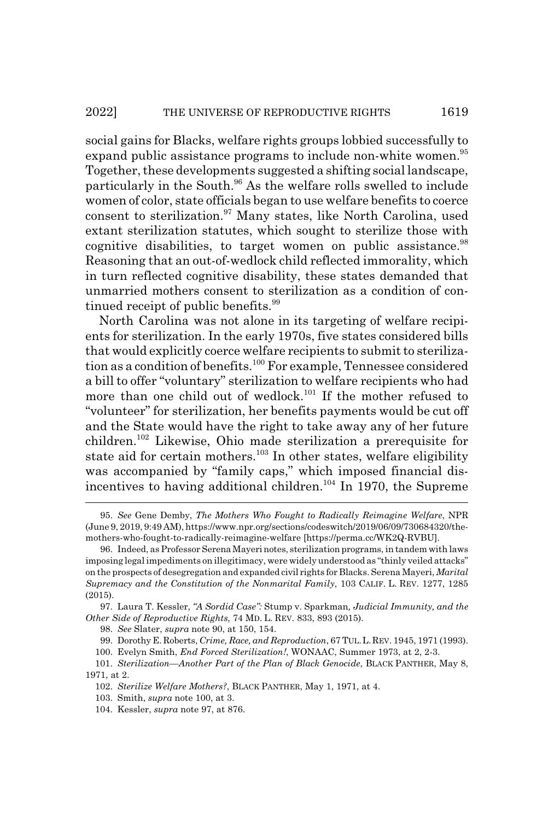social gains for Blacks, welfare rights groups lobbied successfully to expand public assistance programs to include non-white women.<sup>95</sup> Together, these developments suggested a shifting social landscape, particularly in the South.<sup>96</sup> As the welfare rolls swelled to include women of color, state officials began to use welfare benefits to coerce consent to sterilization.<sup>97</sup> Many states, like North Carolina, used extant sterilization statutes, which sought to sterilize those with cognitive disabilities, to target women on public assistance.<sup>98</sup> Reasoning that an out-of-wedlock child reflected immorality, which in turn reflected cognitive disability, these states demanded that unmarried mothers consent to sterilization as a condition of continued receipt of public benefits.<sup>99</sup>

North Carolina was not alone in its targeting of welfare recipients for sterilization. In the early 1970s, five states considered bills that would explicitly coerce welfare recipients to submit to sterilization as a condition of benefits.<sup>100</sup> For example, Tennessee considered a bill to offer "voluntary" sterilization to welfare recipients who had more than one child out of wedlock.101 If the mother refused to "volunteer" for sterilization, her benefits payments would be cut off and the State would have the right to take away any of her future children.102 Likewise, Ohio made sterilization a prerequisite for state aid for certain mothers.<sup>103</sup> In other states, welfare eligibility was accompanied by "family caps," which imposed financial disincentives to having additional children.104 In 1970, the Supreme

<sup>95.</sup> *See* Gene Demby, *The Mothers Who Fought to Radically Reimagine Welfare*, NPR (June 9, 2019, 9:49 AM), https://www.npr.org/sections/codeswitch/2019/06/09/730684320/themothers-who-fought-to-radically-reimagine-welfare [https://perma.cc/WK2Q-RVBU].

<sup>96.</sup> Indeed, as Professor Serena Mayeri notes, sterilization programs, in tandem with laws imposing legal impediments on illegitimacy, were widely understood as "thinly veiled attacks" on the prospects of desegregation and expanded civil rights for Blacks. Serena Mayeri, *Marital Supremacy and the Constitution of the Nonmarital Family*, 103 CALIF. L. REV. 1277, 1285 (2015).

<sup>97.</sup> Laura T. Kessler, *"A Sordid Case":* Stump v. Sparkman*, Judicial Immunity, and the Other Side of Reproductive Rights*, 74 MD. L. REV. 833, 893 (2015).

<sup>98.</sup> *See* Slater, *supra* note 90, at 150, 154.

<sup>99.</sup> Dorothy E. Roberts, *Crime, Race, and Reproduction*, 67 TUL.L.REV. 1945, 1971 (1993).

<sup>100.</sup> Evelyn Smith, *End Forced Sterilization!*, WONAAC, Summer 1973, at 2, 2-3.

<sup>101.</sup> *Sterilization—Another Part of the Plan of Black Genocide*, BLACK PANTHER, May 8, 1971, at 2.

<sup>102.</sup> *Sterilize Welfare Mothers?*, BLACK PANTHER, May 1, 1971, at 4.

<sup>103.</sup> Smith, *supra* note 100, at 3.

<sup>104.</sup> Kessler, *supra* note 97, at 876.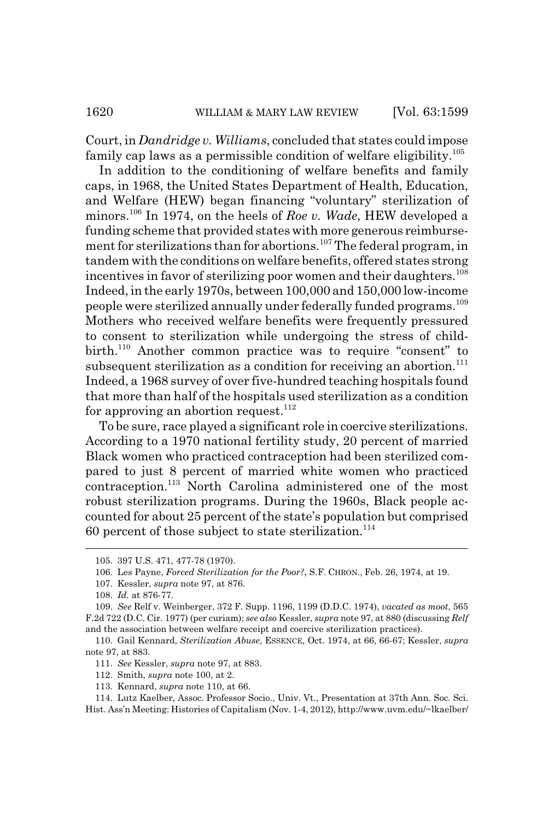Court, in *Dandridge v. Williams*, concluded that states could impose family cap laws as a permissible condition of welfare eligibility.<sup>105</sup>

In addition to the conditioning of welfare benefits and family caps, in 1968, the United States Department of Health, Education, and Welfare (HEW) began financing "voluntary" sterilization of minors.106 In 1974, on the heels of *Roe v. Wade*, HEW developed a funding scheme that provided states with more generous reimbursement for sterilizations than for abortions.<sup>107</sup> The federal program, in tandem with the conditions on welfare benefits, offered states strong incentives in favor of sterilizing poor women and their daughters.<sup>108</sup> Indeed, in the early 1970s, between 100,000 and 150,000 low-income people were sterilized annually under federally funded programs.109 Mothers who received welfare benefits were frequently pressured to consent to sterilization while undergoing the stress of childbirth.<sup>110</sup> Another common practice was to require "consent" to subsequent sterilization as a condition for receiving an abortion.<sup>111</sup> Indeed, a 1968 survey of over five-hundred teaching hospitals found that more than half of the hospitals used sterilization as a condition for approving an abortion request. $112$ 

To be sure, race played a significant role in coercive sterilizations. According to a 1970 national fertility study, 20 percent of married Black women who practiced contraception had been sterilized compared to just 8 percent of married white women who practiced contraception.113 North Carolina administered one of the most robust sterilization programs. During the 1960s, Black people accounted for about 25 percent of the state's population but comprised 60 percent of those subject to state sterilization.<sup>114</sup>

<sup>105. 397</sup> U.S. 471, 477-78 (1970).

<sup>106.</sup> Les Payne, *Forced Sterilization for the Poor?*, S.F. CHRON., Feb. 26, 1974, at 19.

<sup>107.</sup> Kessler, *supra* note 97, at 876.

<sup>108.</sup> *Id.* at 876-77.

<sup>109.</sup> *See* Relf v. Weinberger, 372 F. Supp. 1196, 1199 (D.D.C. 1974), *vacated as moot*, 565 F.2d 722 (D.C. Cir. 1977) (per curiam); *see also* Kessler, *supra* note 97, at 880 (discussing *Relf* and the association between welfare receipt and coercive sterilization practices).

<sup>110.</sup> Gail Kennard, *Sterilization Abuse*, ESSENCE, Oct. 1974, at 66, 66-67; Kessler, *supra* note 97, at 883.

<sup>111.</sup> *See* Kessler, *supra* note 97, at 883.

<sup>112.</sup> Smith, *supra* note 100, at 2.

<sup>113.</sup> Kennard, *supra* note 110, at 66.

<sup>114.</sup> Lutz Kaelber, Assoc. Professor Socio., Univ. Vt., Presentation at 37th Ann. Soc. Sci. Hist. Ass'n Meeting: Histories of Capitalism (Nov. 1-4, 2012), http://www.uvm.edu/~lkaelber/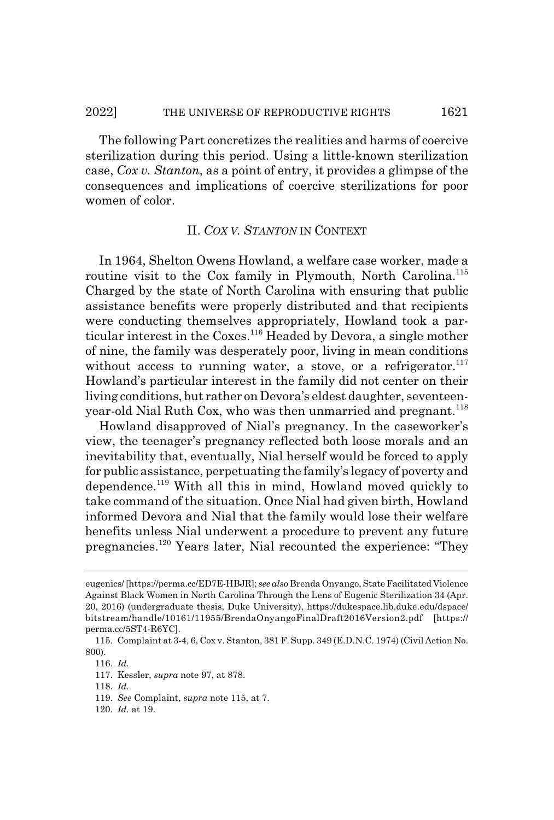The following Part concretizes the realities and harms of coercive sterilization during this period. Using a little-known sterilization case, *Cox v. Stanton*, as a point of entry, it provides a glimpse of the consequences and implications of coercive sterilizations for poor women of color.

### II. *COX V. STANTON* IN CONTEXT

In 1964, Shelton Owens Howland, a welfare case worker, made a routine visit to the Cox family in Plymouth, North Carolina.<sup>115</sup> Charged by the state of North Carolina with ensuring that public assistance benefits were properly distributed and that recipients were conducting themselves appropriately, Howland took a particular interest in the Coxes.<sup>116</sup> Headed by Devora, a single mother of nine, the family was desperately poor, living in mean conditions without access to running water, a stove, or a refrigerator. $117$ Howland's particular interest in the family did not center on their living conditions, but rather on Devora's eldest daughter, seventeenyear-old Nial Ruth Cox, who was then unmarried and pregnant.<sup>118</sup>

Howland disapproved of Nial's pregnancy. In the caseworker's view, the teenager's pregnancy reflected both loose morals and an inevitability that, eventually, Nial herself would be forced to apply for public assistance, perpetuating the family's legacy of poverty and dependence.119 With all this in mind, Howland moved quickly to take command of the situation. Once Nial had given birth, Howland informed Devora and Nial that the family would lose their welfare benefits unless Nial underwent a procedure to prevent any future pregnancies.120 Years later, Nial recounted the experience: "They

eugenics/ [https://perma.cc/ED7E-HBJR]; *see also* Brenda Onyango, State Facilitated Violence Against Black Women in North Carolina Through the Lens of Eugenic Sterilization 34 (Apr. 20, 2016) (undergraduate thesis, Duke University), https://dukespace.lib.duke.edu/dspace/ bitstream/handle/10161/11955/BrendaOnyangoFinalDraft2016Version2.pdf [https:// perma.cc/5ST4-R6YC].

<sup>115.</sup> Complaint at 3-4, 6, Cox v. Stanton, 381 F. Supp. 349 (E.D.N.C. 1974) (Civil Action No. 800).

<sup>116.</sup> *Id.*

<sup>117.</sup> Kessler, *supra* note 97, at 878.

<sup>118.</sup> *Id.*

<sup>119.</sup> *See* Complaint, *supra* note 115, at 7.

<sup>120.</sup> *Id.* at 19.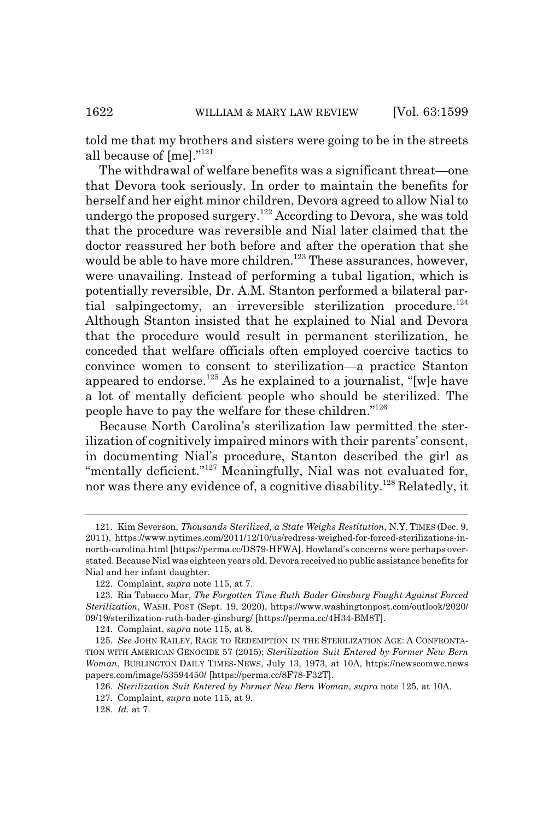told me that my brothers and sisters were going to be in the streets all because of [me]."121

The withdrawal of welfare benefits was a significant threat—one that Devora took seriously. In order to maintain the benefits for herself and her eight minor children, Devora agreed to allow Nial to undergo the proposed surgery.<sup>122</sup> According to Devora, she was told that the procedure was reversible and Nial later claimed that the doctor reassured her both before and after the operation that she would be able to have more children.<sup>123</sup> These assurances, however, were unavailing. Instead of performing a tubal ligation, which is potentially reversible, Dr. A.M. Stanton performed a bilateral partial salpingectomy, an irreversible sterilization procedure.<sup>124</sup> Although Stanton insisted that he explained to Nial and Devora that the procedure would result in permanent sterilization, he conceded that welfare officials often employed coercive tactics to convince women to consent to sterilization—a practice Stanton appeared to endorse.<sup>125</sup> As he explained to a journalist, "[w]e have a lot of mentally deficient people who should be sterilized. The people have to pay the welfare for these children."126

Because North Carolina's sterilization law permitted the sterilization of cognitively impaired minors with their parents' consent, in documenting Nial's procedure, Stanton described the girl as "mentally deficient."<sup>127</sup> Meaningfully, Nial was not evaluated for, nor was there any evidence of, a cognitive disability.<sup>128</sup> Relatedly, it

<sup>121.</sup> Kim Severson, *Thousands Sterilized, a State Weighs Restitution*, N.Y. TIMES (Dec. 9, 2011), https://www.nytimes.com/2011/12/10/us/redress-weighed-for-forced-sterilizations-innorth-carolina.html [https://perma.cc/DS79-HFWA]. Howland's concerns were perhaps overstated. Because Nial was eighteen years old, Devora received no public assistance benefits for Nial and her infant daughter.

<sup>122.</sup> Complaint, *supra* note 115, at 7.

<sup>123.</sup> Ria Tabacco Mar, *The Forgotten Time Ruth Bader Ginsburg Fought Against Forced Sterilization*, WASH. POST (Sept. 19, 2020), https://www.washingtonpost.com/outlook/2020/ 09/19/sterilization-ruth-bader-ginsburg/ [https://perma.cc/4H34-BM8T].

<sup>124.</sup> Complaint, *supra* note 115, at 8.

<sup>125.</sup> See JOHN RAILEY, RAGE TO REDEMPTION IN THE STERILIZATION AGE: A CONFRONTA-TION WITH AMERICAN GENOCIDE 57 (2015); *Sterilization Suit Entered by Former New Bern Woman*, BURLINGTON DAILY TIMES-NEWS, July 13, 1973, at 10A, https://newscomwc.news papers.com/image/53594450/ [https://perma.cc/8F78-F32T].

<sup>126.</sup> *Sterilization Suit Entered by Former New Bern Woman*, *supra* note 125, at 10A.

<sup>127.</sup> Complaint, *supra* note 115, at 9.

<sup>128.</sup> *Id.* at 7.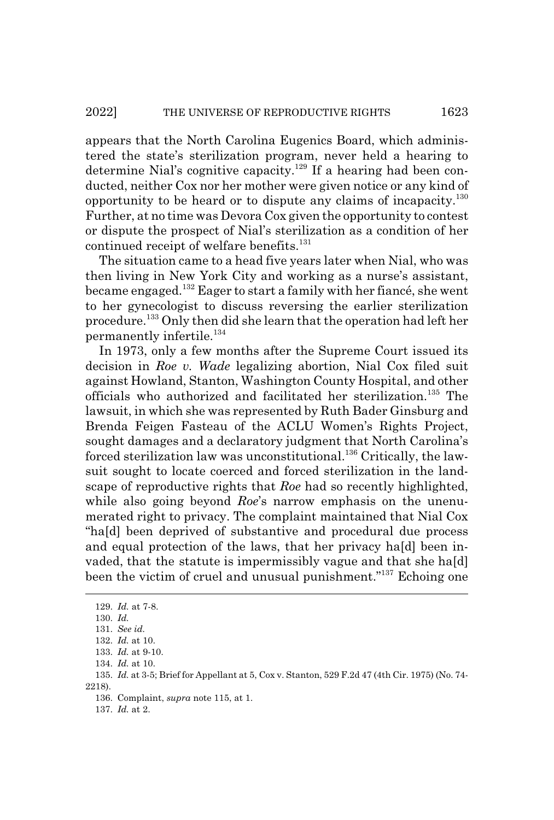appears that the North Carolina Eugenics Board, which administered the state's sterilization program, never held a hearing to determine Nial's cognitive capacity.<sup>129</sup> If a hearing had been conducted, neither Cox nor her mother were given notice or any kind of opportunity to be heard or to dispute any claims of incapacity.130 Further, at no time was Devora Cox given the opportunity to contest or dispute the prospect of Nial's sterilization as a condition of her continued receipt of welfare benefits.<sup>131</sup>

The situation came to a head five years later when Nial, who was then living in New York City and working as a nurse's assistant, became engaged.132 Eager to start a family with her fiancé, she went to her gynecologist to discuss reversing the earlier sterilization procedure.133 Only then did she learn that the operation had left her permanently infertile.<sup>134</sup>

In 1973, only a few months after the Supreme Court issued its decision in *Roe v. Wade* legalizing abortion, Nial Cox filed suit against Howland, Stanton, Washington County Hospital, and other officials who authorized and facilitated her sterilization.135 The lawsuit, in which she was represented by Ruth Bader Ginsburg and Brenda Feigen Fasteau of the ACLU Women's Rights Project, sought damages and a declaratory judgment that North Carolina's forced sterilization law was unconstitutional.<sup>136</sup> Critically, the lawsuit sought to locate coerced and forced sterilization in the landscape of reproductive rights that *Roe* had so recently highlighted, while also going beyond *Roe*'s narrow emphasis on the unenumerated right to privacy. The complaint maintained that Nial Cox "ha[d] been deprived of substantive and procedural due process and equal protection of the laws, that her privacy ha[d] been invaded, that the statute is impermissibly vague and that she ha[d] been the victim of cruel and unusual punishment."137 Echoing one

<sup>129.</sup> *Id.* at 7-8.

<sup>130.</sup> *Id.*

<sup>131.</sup> *See id.*

<sup>132.</sup> *Id.* at 10.

<sup>133.</sup> *Id.* at 9-10.

<sup>134.</sup> *Id.* at 10.

<sup>135.</sup> *Id.* at 3-5; Brief for Appellant at 5, Cox v. Stanton, 529 F.2d 47 (4th Cir. 1975) (No. 74- 2218).

<sup>136.</sup> Complaint, *supra* note 115, at 1.

<sup>137.</sup> *Id.* at 2.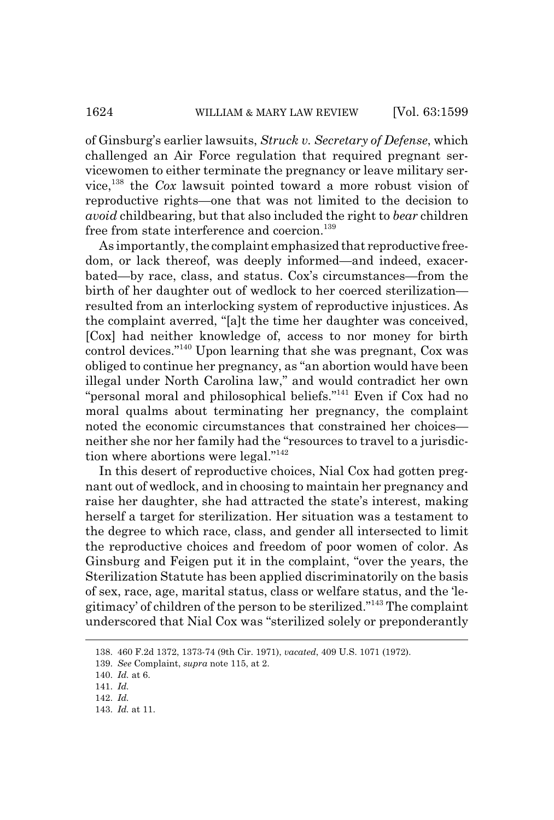of Ginsburg's earlier lawsuits, *Struck v. Secretary of Defense*, which challenged an Air Force regulation that required pregnant servicewomen to either terminate the pregnancy or leave military service,138 the *Cox* lawsuit pointed toward a more robust vision of reproductive rights—one that was not limited to the decision to *avoid* childbearing, but that also included the right to *bear* children free from state interference and coercion.<sup>139</sup>

As importantly, the complaint emphasized that reproductive freedom, or lack thereof, was deeply informed—and indeed, exacerbated—by race, class, and status. Cox's circumstances—from the birth of her daughter out of wedlock to her coerced sterilization resulted from an interlocking system of reproductive injustices. As the complaint averred, "[a]t the time her daughter was conceived, [Cox] had neither knowledge of, access to nor money for birth control devices."140 Upon learning that she was pregnant, Cox was obliged to continue her pregnancy, as "an abortion would have been illegal under North Carolina law," and would contradict her own "personal moral and philosophical beliefs."<sup>141</sup> Even if Cox had no moral qualms about terminating her pregnancy, the complaint noted the economic circumstances that constrained her choices neither she nor her family had the "resources to travel to a jurisdiction where abortions were legal."142

In this desert of reproductive choices, Nial Cox had gotten pregnant out of wedlock, and in choosing to maintain her pregnancy and raise her daughter, she had attracted the state's interest, making herself a target for sterilization. Her situation was a testament to the degree to which race, class, and gender all intersected to limit the reproductive choices and freedom of poor women of color. As Ginsburg and Feigen put it in the complaint, "over the years, the Sterilization Statute has been applied discriminatorily on the basis of sex, race, age, marital status, class or welfare status, and the 'legitimacy' of children of the person to be sterilized."143 The complaint underscored that Nial Cox was "sterilized solely or preponderantly

<sup>138. 460</sup> F.2d 1372, 1373-74 (9th Cir. 1971), *vacated*, 409 U.S. 1071 (1972).

<sup>139.</sup> *See* Complaint, *supra* note 115, at 2.

<sup>140.</sup> *Id.* at 6.

<sup>141.</sup> *Id.*

<sup>142.</sup> *Id.*

<sup>143.</sup> *Id.* at 11.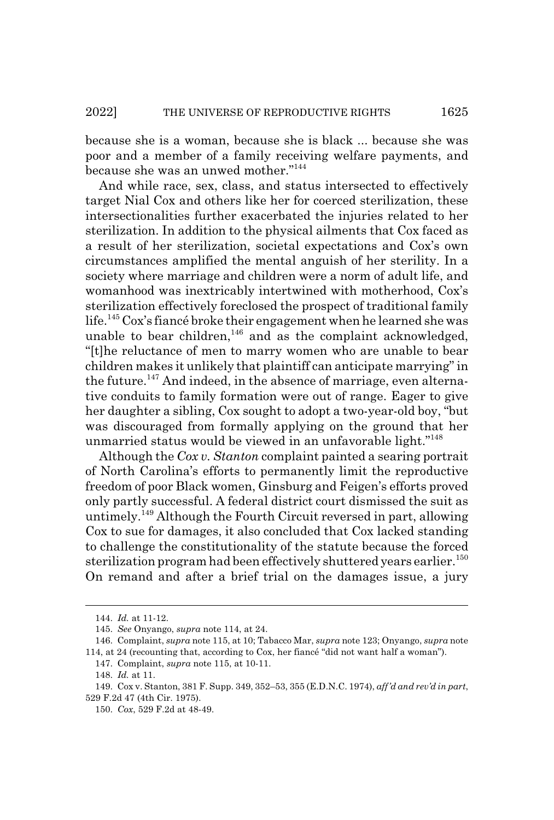because she is a woman, because she is black ... because she was poor and a member of a family receiving welfare payments, and because she was an unwed mother."144

And while race, sex, class, and status intersected to effectively target Nial Cox and others like her for coerced sterilization, these intersectionalities further exacerbated the injuries related to her sterilization. In addition to the physical ailments that Cox faced as a result of her sterilization, societal expectations and Cox's own circumstances amplified the mental anguish of her sterility. In a society where marriage and children were a norm of adult life, and womanhood was inextricably intertwined with motherhood, Cox's sterilization effectively foreclosed the prospect of traditional family life.<sup>145</sup> Cox's fiance broke their engagement when he learned she was unable to bear children, $146$  and as the complaint acknowledged, "[t]he reluctance of men to marry women who are unable to bear children makes it unlikely that plaintiff can anticipate marrying" in the future.<sup>147</sup> And indeed, in the absence of marriage, even alternative conduits to family formation were out of range. Eager to give her daughter a sibling, Cox sought to adopt a two-year-old boy, "but was discouraged from formally applying on the ground that her unmarried status would be viewed in an unfavorable light."148

Although the *Cox v. Stanton* complaint painted a searing portrait of North Carolina's efforts to permanently limit the reproductive freedom of poor Black women, Ginsburg and Feigen's efforts proved only partly successful. A federal district court dismissed the suit as untimely.149 Although the Fourth Circuit reversed in part, allowing Cox to sue for damages, it also concluded that Cox lacked standing to challenge the constitutionality of the statute because the forced sterilization program had been effectively shuttered years earlier.<sup>150</sup> On remand and after a brief trial on the damages issue, a jury

<sup>144.</sup> *Id.* at 11-12.

<sup>145.</sup> *See* Onyango, *supra* note 114, at 24.

<sup>146.</sup> Complaint, *supra* note 115, at 10; Tabacco Mar, *supra* note 123; Onyango, *supra* note 114, at 24 (recounting that, according to Cox, her fiancé "did not want half a woman").

<sup>147.</sup> Complaint, *supra* note 115, at 10-11.

<sup>148.</sup> *Id.* at 11.

<sup>149.</sup> Cox v. Stanton, 381 F. Supp. 349, 352–53, 355 (E.D.N.C. 1974), *aff'd and rev'd in part*, 529 F.2d 47 (4th Cir. 1975).

<sup>150.</sup> *Cox*, 529 F.2d at 48-49.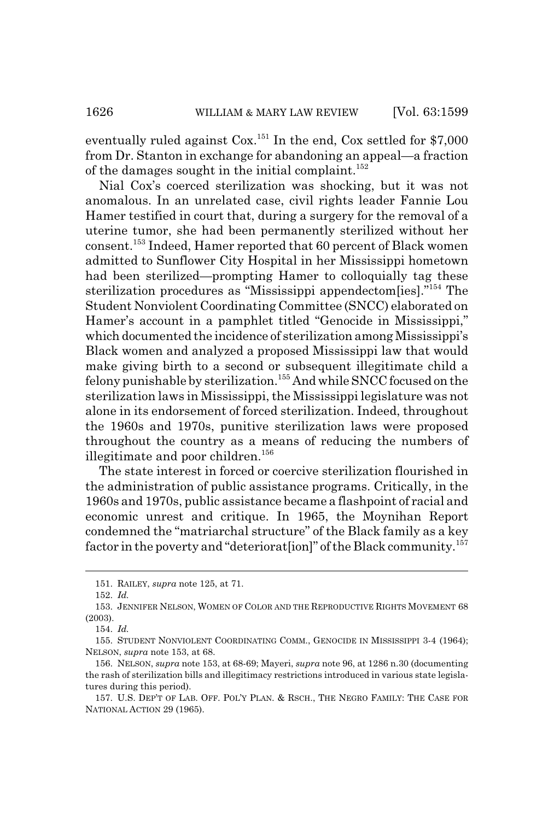eventually ruled against  $\text{Cox}.^{151}$  In the end,  $\text{Cox}$  settled for \$7,000 from Dr. Stanton in exchange for abandoning an appeal—a fraction of the damages sought in the initial complaint.<sup>152</sup>

Nial Cox's coerced sterilization was shocking, but it was not anomalous. In an unrelated case, civil rights leader Fannie Lou Hamer testified in court that, during a surgery for the removal of a uterine tumor, she had been permanently sterilized without her consent.153 Indeed, Hamer reported that 60 percent of Black women admitted to Sunflower City Hospital in her Mississippi hometown had been sterilized—prompting Hamer to colloquially tag these sterilization procedures as "Mississippi appendectom[ies]."154 The Student Nonviolent Coordinating Committee (SNCC) elaborated on Hamer's account in a pamphlet titled "Genocide in Mississippi," which documented the incidence of sterilization among Mississippi's Black women and analyzed a proposed Mississippi law that would make giving birth to a second or subsequent illegitimate child a felony punishable by sterilization.155 And while SNCC focused on the sterilization laws in Mississippi, the Mississippi legislature was not alone in its endorsement of forced sterilization. Indeed, throughout the 1960s and 1970s, punitive sterilization laws were proposed throughout the country as a means of reducing the numbers of illegitimate and poor children.<sup>156</sup>

The state interest in forced or coercive sterilization flourished in the administration of public assistance programs. Critically, in the 1960s and 1970s, public assistance became a flashpoint of racial and economic unrest and critique. In 1965, the Moynihan Report condemned the "matriarchal structure" of the Black family as a key factor in the poverty and "deteriorat[ion]" of the Black community.<sup>157</sup>

<sup>151.</sup> RAILEY, *supra* note 125, at 71.

<sup>152.</sup> *Id.*

<sup>153.</sup> JENNIFER NELSON, WOMEN OF COLOR AND THE REPRODUCTIVE RIGHTS MOVEMENT 68 (2003).

<sup>154.</sup> *Id.*

<sup>155.</sup> STUDENT NONVIOLENT COORDINATING COMM., GENOCIDE IN MISSISSIPPI 3-4 (1964); NELSON, *supra* note 153, at 68.

<sup>156.</sup> NELSON, *supra* note 153, at 68-69; Mayeri, *supra* note 96, at 1286 n.30 (documenting the rash of sterilization bills and illegitimacy restrictions introduced in various state legislatures during this period).

<sup>157.</sup> U.S. DEP'T OF LAB. OFF. POL'Y PLAN.&RSCH., THE NEGRO FAMILY: THE CASE FOR NATIONAL ACTION 29 (1965).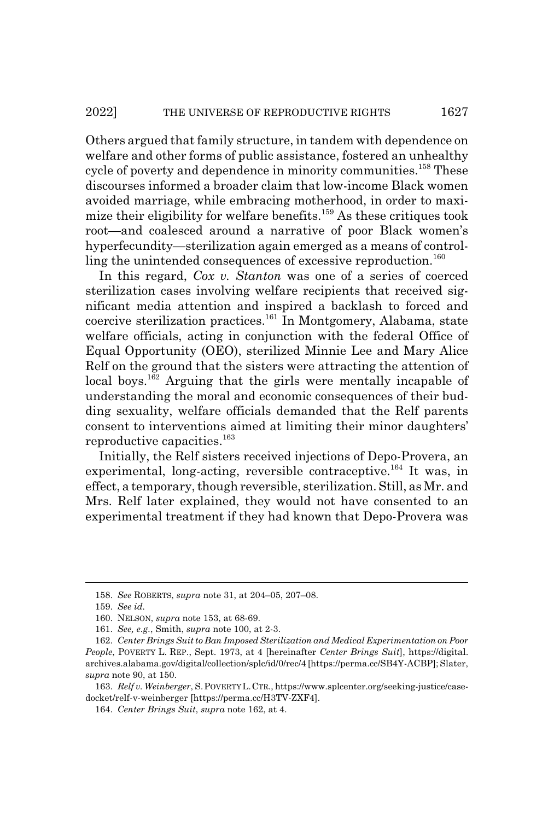Others argued that family structure, in tandem with dependence on welfare and other forms of public assistance, fostered an unhealthy cycle of poverty and dependence in minority communities.<sup>158</sup> These discourses informed a broader claim that low-income Black women avoided marriage, while embracing motherhood, in order to maximize their eligibility for welfare benefits.159 As these critiques took root—and coalesced around a narrative of poor Black women's hyperfecundity—sterilization again emerged as a means of controlling the unintended consequences of excessive reproduction.<sup>160</sup>

In this regard, *Cox v. Stanton* was one of a series of coerced sterilization cases involving welfare recipients that received significant media attention and inspired a backlash to forced and coercive sterilization practices.161 In Montgomery, Alabama, state welfare officials, acting in conjunction with the federal Office of Equal Opportunity (OEO), sterilized Minnie Lee and Mary Alice Relf on the ground that the sisters were attracting the attention of local boys.<sup>162</sup> Arguing that the girls were mentally incapable of understanding the moral and economic consequences of their budding sexuality, welfare officials demanded that the Relf parents consent to interventions aimed at limiting their minor daughters' reproductive capacities.<sup>163</sup>

Initially, the Relf sisters received injections of Depo-Provera, an experimental, long-acting, reversible contraceptive.<sup>164</sup> It was, in effect, a temporary, though reversible, sterilization. Still, as Mr. and Mrs. Relf later explained, they would not have consented to an experimental treatment if they had known that Depo-Provera was

<sup>158.</sup> *See* ROBERTS, *supra* note 31, at 204–05, 207–08.

<sup>159.</sup> *See id.*

<sup>160.</sup> NELSON, *supra* note 153, at 68-69.

<sup>161.</sup> *See, e.g.*, Smith, *supra* note 100, at 2-3.

<sup>162.</sup> *Center Brings Suit to Ban Imposed Sterilization and Medical Experimentation on Poor People*, POVERTY L. REP., Sept. 1973, at 4 [hereinafter *Center Brings Suit*], https://digital. archives.alabama.gov/digital/collection/splc/id/0/rec/4 [https://perma.cc/SB4Y-ACBP]; Slater, *supra* note 90, at 150.

<sup>163.</sup> *Relf v. Weinberger*, S.POVERTY L.CTR., https://www.splcenter.org/seeking-justice/casedocket/relf-v-weinberger [https://perma.cc/H3TV-ZXF4].

<sup>164.</sup> *Center Brings Suit*, *supra* note 162, at 4.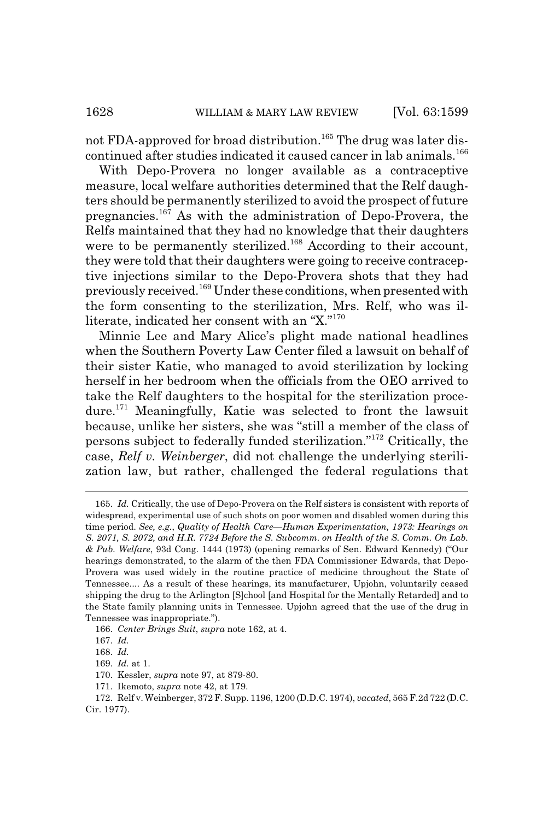not FDA-approved for broad distribution.<sup>165</sup> The drug was later discontinued after studies indicated it caused cancer in lab animals.<sup>166</sup>

With Depo-Provera no longer available as a contraceptive measure, local welfare authorities determined that the Relf daughters should be permanently sterilized to avoid the prospect of future pregnancies.167 As with the administration of Depo-Provera, the Relfs maintained that they had no knowledge that their daughters were to be permanently sterilized.<sup>168</sup> According to their account, they were told that their daughters were going to receive contraceptive injections similar to the Depo-Provera shots that they had previously received.169 Under these conditions, when presented with the form consenting to the sterilization, Mrs. Relf, who was illiterate, indicated her consent with an "X."<sup>170</sup>

Minnie Lee and Mary Alice's plight made national headlines when the Southern Poverty Law Center filed a lawsuit on behalf of their sister Katie, who managed to avoid sterilization by locking herself in her bedroom when the officials from the OEO arrived to take the Relf daughters to the hospital for the sterilization procedure.171 Meaningfully, Katie was selected to front the lawsuit because, unlike her sisters, she was "still a member of the class of persons subject to federally funded sterilization."172 Critically, the case, *Relf v. Weinberger*, did not challenge the underlying sterilization law, but rather, challenged the federal regulations that

<sup>165.</sup> *Id.* Critically, the use of Depo-Provera on the Relf sisters is consistent with reports of widespread, experimental use of such shots on poor women and disabled women during this time period. *See, e.g.*, *Quality of Health Care—Human Experimentation, 1973: Hearings on S. 2071, S. 2072, and H.R. 7724 Before the S. Subcomm. on Health of the S. Comm. On Lab. & Pub. Welfare*, 93d Cong. 1444 (1973) (opening remarks of Sen. Edward Kennedy) ("Our hearings demonstrated, to the alarm of the then FDA Commissioner Edwards, that Depo-Provera was used widely in the routine practice of medicine throughout the State of Tennessee.... As a result of these hearings, its manufacturer, Upjohn, voluntarily ceased shipping the drug to the Arlington [S]chool [and Hospital for the Mentally Retarded] and to the State family planning units in Tennessee. Upjohn agreed that the use of the drug in Tennessee was inappropriate.").

<sup>166.</sup> *Center Brings Suit*, *supra* note 162, at 4.

<sup>167.</sup> *Id.*

<sup>168.</sup> *Id.*

<sup>169.</sup> *Id.* at 1.

<sup>170.</sup> Kessler, *supra* note 97, at 879-80.

<sup>171.</sup> Ikemoto, *supra* note 42, at 179.

<sup>172.</sup> Relf v. Weinberger, 372 F. Supp. 1196, 1200 (D.D.C. 1974), *vacated*, 565 F.2d 722 (D.C. Cir. 1977).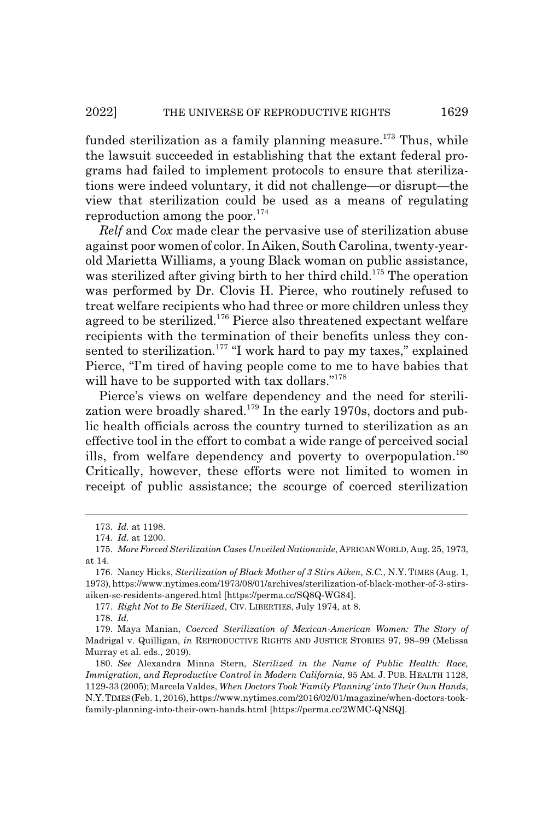funded sterilization as a family planning measure.<sup>173</sup> Thus, while the lawsuit succeeded in establishing that the extant federal programs had failed to implement protocols to ensure that sterilizations were indeed voluntary, it did not challenge—or disrupt—the view that sterilization could be used as a means of regulating reproduction among the poor. $174$ 

*Relf* and *Cox* made clear the pervasive use of sterilization abuse against poor women of color. In Aiken, South Carolina, twenty-yearold Marietta Williams, a young Black woman on public assistance, was sterilized after giving birth to her third child.<sup>175</sup> The operation was performed by Dr. Clovis H. Pierce, who routinely refused to treat welfare recipients who had three or more children unless they agreed to be sterilized.176 Pierce also threatened expectant welfare recipients with the termination of their benefits unless they consented to sterilization.<sup>177</sup> "I work hard to pay my taxes," explained Pierce, "I'm tired of having people come to me to have babies that will have to be supported with tax dollars."<sup>178</sup>

Pierce's views on welfare dependency and the need for sterilization were broadly shared.<sup>179</sup> In the early 1970s, doctors and public health officials across the country turned to sterilization as an effective tool in the effort to combat a wide range of perceived social ills, from welfare dependency and poverty to overpopulation.<sup>180</sup> Critically, however, these efforts were not limited to women in receipt of public assistance; the scourge of coerced sterilization

177. *Right Not to Be Sterilized*, CIV. LIBERTIES, July 1974, at 8.

178. *Id.*

<sup>173.</sup> *Id.* at 1198.

<sup>174.</sup> *Id.* at 1200.

<sup>175.</sup> *More Forced Sterilization Cases Unveiled Nationwide*, AFRICAN WORLD, Aug. 25, 1973, at 14.

<sup>176.</sup> Nancy Hicks, *Sterilization of Black Mother of 3 Stirs Aiken, S.C.*, N.Y. TIMES (Aug. 1, 1973), https://www.nytimes.com/1973/08/01/archives/sterilization-of-black-mother-of-3-stirsaiken-sc-residents-angered.html [https://perma.cc/SQ8Q-WG84].

<sup>179.</sup> Maya Manian, *Coerced Sterilization of Mexican-American Women: The Story of* Madrigal v. Quilligan, *in* REPRODUCTIVE RIGHTS AND JUSTICE STORIES 97, 98–99 (Melissa Murray et al. eds., 2019).

<sup>180.</sup> *See* Alexandra Minna Stern, *Sterilized in the Name of Public Health: Race, Immigration, and Reproductive Control in Modern California*, 95 AM. J. PUB. HEALTH 1128, 1129-33 (2005); Marcela Valdes, *When Doctors Took 'Family Planning' into Their Own Hands*, N.Y.TIMES (Feb. 1, 2016), https://www.nytimes.com/2016/02/01/magazine/when-doctors-tookfamily-planning-into-their-own-hands.html [https://perma.cc/2WMC-QNSQ].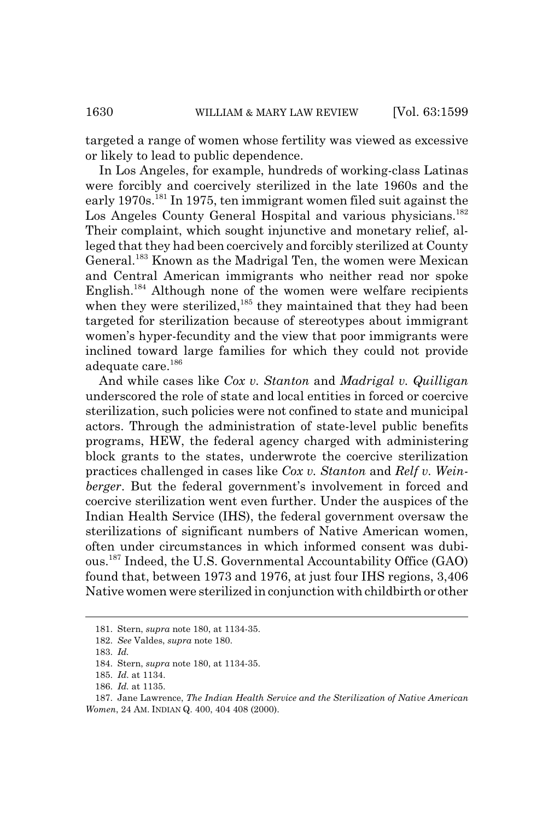targeted a range of women whose fertility was viewed as excessive or likely to lead to public dependence.

In Los Angeles, for example, hundreds of working-class Latinas were forcibly and coercively sterilized in the late 1960s and the early 1970s.<sup>181</sup> In 1975, ten immigrant women filed suit against the Los Angeles County General Hospital and various physicians.<sup>182</sup> Their complaint, which sought injunctive and monetary relief, alleged that they had been coercively and forcibly sterilized at County General.<sup>183</sup> Known as the Madrigal Ten, the women were Mexican and Central American immigrants who neither read nor spoke English.<sup>184</sup> Although none of the women were welfare recipients when they were sterilized,<sup>185</sup> they maintained that they had been targeted for sterilization because of stereotypes about immigrant women's hyper-fecundity and the view that poor immigrants were inclined toward large families for which they could not provide adequate care.<sup>186</sup>

And while cases like *Cox v. Stanton* and *Madrigal v. Quilligan* underscored the role of state and local entities in forced or coercive sterilization, such policies were not confined to state and municipal actors. Through the administration of state-level public benefits programs, HEW, the federal agency charged with administering block grants to the states, underwrote the coercive sterilization practices challenged in cases like *Cox v. Stanton* and *Relf v. Weinberger*. But the federal government's involvement in forced and coercive sterilization went even further. Under the auspices of the Indian Health Service (IHS), the federal government oversaw the sterilizations of significant numbers of Native American women, often under circumstances in which informed consent was dubious.187 Indeed, the U.S. Governmental Accountability Office (GAO) found that, between 1973 and 1976, at just four IHS regions, 3,406 Native women were sterilized in conjunction with childbirth or other

<sup>181.</sup> Stern, *supra* note 180, at 1134-35.

<sup>182.</sup> *See* Valdes, *supra* note 180.

<sup>183.</sup> *Id.*

<sup>184.</sup> Stern, *supra* note 180, at 1134-35.

<sup>185.</sup> *Id.* at 1134.

<sup>186.</sup> *Id.* at 1135.

<sup>187.</sup> Jane Lawrence, *The Indian Health Service and the Sterilization of Native American Women*, 24 AM. INDIAN Q. 400, 404 408 (2000).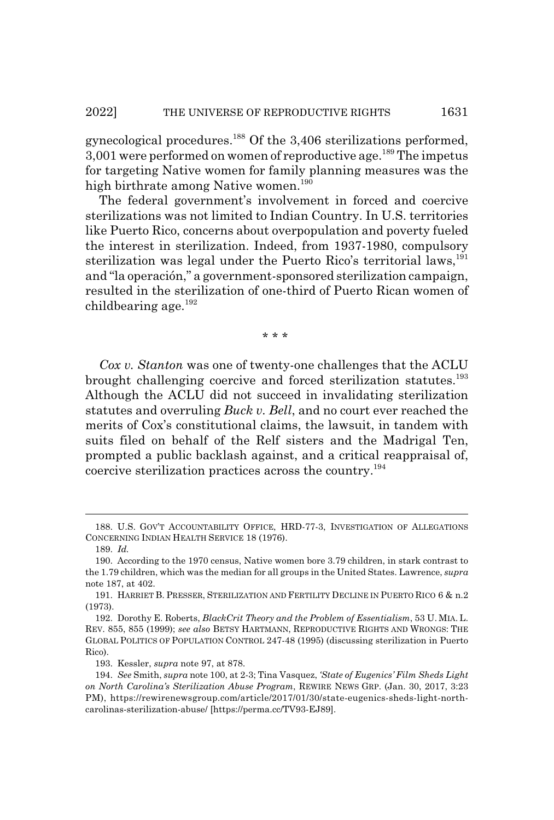gynecological procedures.188 Of the 3,406 sterilizations performed,  $3,001$  were performed on women of reproductive age.<sup>189</sup> The impetus for targeting Native women for family planning measures was the high birthrate among Native women.<sup>190</sup>

The federal government's involvement in forced and coercive sterilizations was not limited to Indian Country. In U.S. territories like Puerto Rico, concerns about overpopulation and poverty fueled the interest in sterilization. Indeed, from 1937-1980, compulsory sterilization was legal under the Puerto Rico's territorial laws,  $191$ and "la operación," a government-sponsored sterilization campaign, resulted in the sterilization of one-third of Puerto Rican women of childbearing age.<sup>192</sup>

\* \* \*

*Cox v. Stanton* was one of twenty-one challenges that the ACLU brought challenging coercive and forced sterilization statutes.<sup>193</sup> Although the ACLU did not succeed in invalidating sterilization statutes and overruling *Buck v. Bell*, and no court ever reached the merits of Cox's constitutional claims, the lawsuit, in tandem with suits filed on behalf of the Relf sisters and the Madrigal Ten, prompted a public backlash against, and a critical reappraisal of, coercive sterilization practices across the country.194

<sup>188.</sup> U.S. GOV'T ACCOUNTABILITY OFFICE, HRD-77-3, INVESTIGATION OF ALLEGATIONS CONCERNING INDIAN HEALTH SERVICE 18 (1976).

<sup>189.</sup> *Id.*

<sup>190.</sup> According to the 1970 census, Native women bore 3.79 children, in stark contrast to the 1.79 children, which was the median for all groups in the United States. Lawrence, *supra* note 187, at 402.

<sup>191.</sup> HARRIET B. PRESSER, STERILIZATION AND FERTILITY DECLINE IN PUERTO RICO 6 & n.2 (1973).

<sup>192.</sup> Dorothy E. Roberts, *BlackCrit Theory and the Problem of Essentialism*, 53 U. MIA. L. REV. 855, 855 (1999); *see also* BETSY HARTMANN, REPRODUCTIVE RIGHTS AND WRONGS: THE GLOBAL POLITICS OF POPULATION CONTROL 247-48 (1995) (discussing sterilization in Puerto Rico).

<sup>193.</sup> Kessler, *supra* note 97, at 878.

<sup>194.</sup> *See* Smith, *supra* note 100, at 2-3; Tina Vasquez, *'State of Eugenics' Film Sheds Light on North Carolina's Sterilization Abuse Program*, REWIRE NEWS GRP. (Jan. 30, 2017, 3:23 PM), https://rewirenewsgroup.com/article/2017/01/30/state-eugenics-sheds-light-northcarolinas-sterilization-abuse/ [https://perma.cc/TV93-EJ89].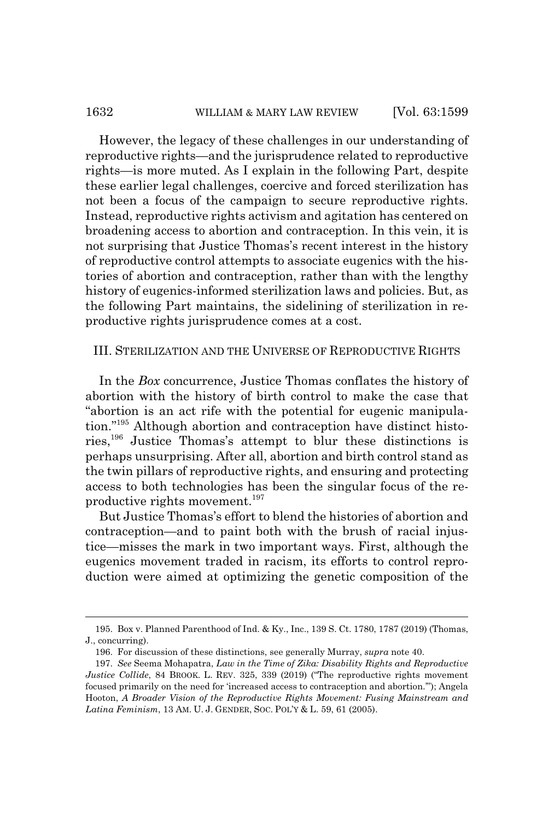# 1632 WILLIAM & MARY LAW REVIEW [Vol. 63:1599]

However, the legacy of these challenges in our understanding of reproductive rights—and the jurisprudence related to reproductive rights—is more muted. As I explain in the following Part, despite these earlier legal challenges, coercive and forced sterilization has not been a focus of the campaign to secure reproductive rights. Instead, reproductive rights activism and agitation has centered on broadening access to abortion and contraception. In this vein, it is not surprising that Justice Thomas's recent interest in the history of reproductive control attempts to associate eugenics with the histories of abortion and contraception, rather than with the lengthy history of eugenics-informed sterilization laws and policies. But, as the following Part maintains, the sidelining of sterilization in reproductive rights jurisprudence comes at a cost.

# III. STERILIZATION AND THE UNIVERSE OF REPRODUCTIVE RIGHTS

In the *Box* concurrence, Justice Thomas conflates the history of abortion with the history of birth control to make the case that "abortion is an act rife with the potential for eugenic manipulation."195 Although abortion and contraception have distinct histories,196 Justice Thomas's attempt to blur these distinctions is perhaps unsurprising. After all, abortion and birth control stand as the twin pillars of reproductive rights, and ensuring and protecting access to both technologies has been the singular focus of the reproductive rights movement.197

But Justice Thomas's effort to blend the histories of abortion and contraception—and to paint both with the brush of racial injustice—misses the mark in two important ways. First, although the eugenics movement traded in racism, its efforts to control reproduction were aimed at optimizing the genetic composition of the

<sup>195.</sup> Box v. Planned Parenthood of Ind. & Ky., Inc., 139 S. Ct. 1780, 1787 (2019) (Thomas, J., concurring).

<sup>196.</sup> For discussion of these distinctions, see generally Murray, *supra* note 40.

<sup>197.</sup> *See* Seema Mohapatra, *Law in the Time of Zika: Disability Rights and Reproductive Justice Collide*, 84 BROOK. L. REV. 325, 339 (2019) ("The reproductive rights movement focused primarily on the need for 'increased access to contraception and abortion.'"); Angela Hooton, *A Broader Vision of the Reproductive Rights Movement: Fusing Mainstream and Latina Feminism*, 13 AM. U. J. GENDER, SOC. POL'Y & L. 59, 61 (2005).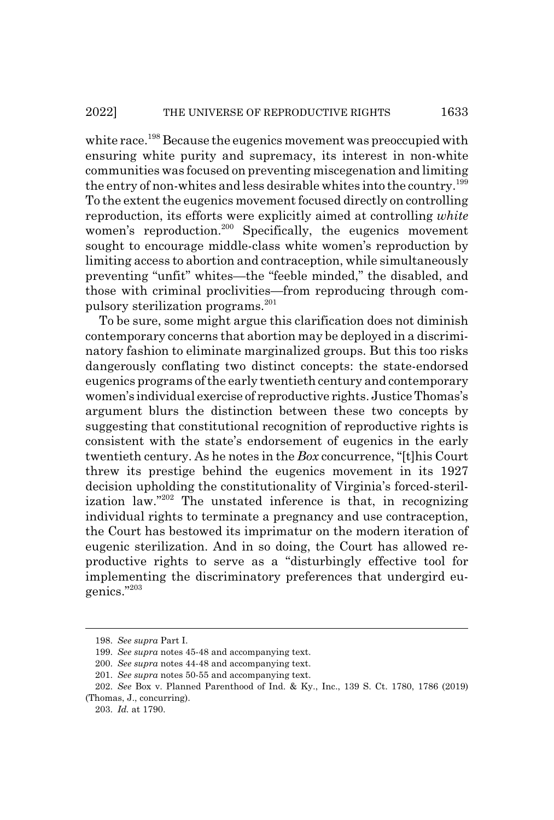white race.<sup>198</sup> Because the eugenics movement was preoccupied with ensuring white purity and supremacy, its interest in non-white communities was focused on preventing miscegenation and limiting the entry of non-whites and less desirable whites into the country.<sup>199</sup> To the extent the eugenics movement focused directly on controlling reproduction, its efforts were explicitly aimed at controlling *white* women's reproduction.<sup>200</sup> Specifically, the eugenics movement sought to encourage middle-class white women's reproduction by limiting access to abortion and contraception, while simultaneously preventing "unfit" whites—the "feeble minded," the disabled, and those with criminal proclivities—from reproducing through compulsory sterilization programs.<sup>201</sup>

To be sure, some might argue this clarification does not diminish contemporary concerns that abortion may be deployed in a discriminatory fashion to eliminate marginalized groups. But this too risks dangerously conflating two distinct concepts: the state-endorsed eugenics programs of the early twentieth century and contemporary women's individual exercise of reproductive rights. Justice Thomas's argument blurs the distinction between these two concepts by suggesting that constitutional recognition of reproductive rights is consistent with the state's endorsement of eugenics in the early twentieth century. As he notes in the *Box* concurrence, "[t]his Court threw its prestige behind the eugenics movement in its 1927 decision upholding the constitutionality of Virginia's forced-sterilization law."<sup>202</sup> The unstated inference is that, in recognizing individual rights to terminate a pregnancy and use contraception, the Court has bestowed its imprimatur on the modern iteration of eugenic sterilization. And in so doing, the Court has allowed reproductive rights to serve as a "disturbingly effective tool for implementing the discriminatory preferences that undergird eugenics."203

<sup>198.</sup> *See supra* Part I.

<sup>199.</sup> *See supra* notes 45-48 and accompanying text.

<sup>200.</sup> *See supra* notes 44-48 and accompanying text.

<sup>201.</sup> *See supra* notes 50-55 and accompanying text.

<sup>202.</sup> *See* Box v. Planned Parenthood of Ind. & Ky., Inc., 139 S. Ct. 1780, 1786 (2019) (Thomas, J., concurring).

<sup>203.</sup> *Id.* at 1790.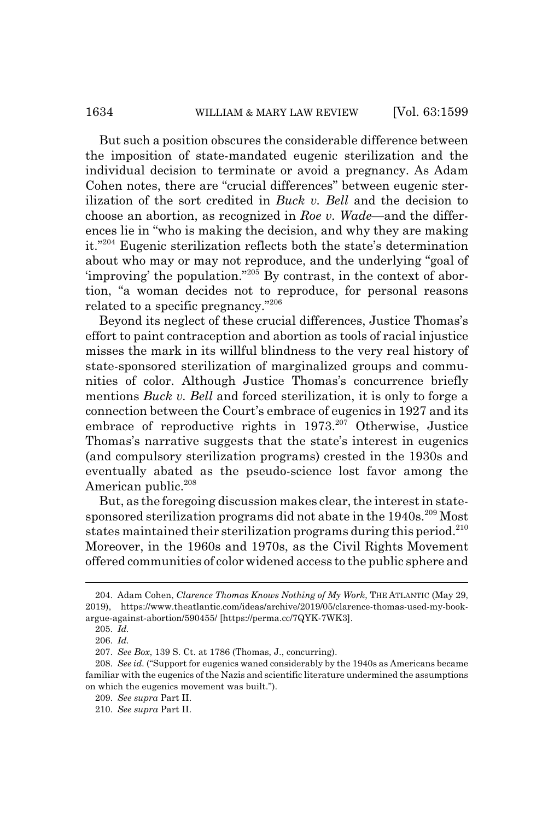But such a position obscures the considerable difference between the imposition of state-mandated eugenic sterilization and the individual decision to terminate or avoid a pregnancy. As Adam Cohen notes, there are "crucial differences" between eugenic sterilization of the sort credited in *Buck v. Bell* and the decision to choose an abortion, as recognized in *Roe v. Wade*—and the differences lie in "who is making the decision, and why they are making it."204 Eugenic sterilization reflects both the state's determination about who may or may not reproduce, and the underlying "goal of 'improving' the population."205 By contrast, in the context of abortion, "a woman decides not to reproduce, for personal reasons related to a specific pregnancy."206

Beyond its neglect of these crucial differences, Justice Thomas's effort to paint contraception and abortion as tools of racial injustice misses the mark in its willful blindness to the very real history of state-sponsored sterilization of marginalized groups and communities of color. Although Justice Thomas's concurrence briefly mentions *Buck v. Bell* and forced sterilization, it is only to forge a connection between the Court's embrace of eugenics in 1927 and its embrace of reproductive rights in  $1973$ <sup>207</sup> Otherwise, Justice Thomas's narrative suggests that the state's interest in eugenics (and compulsory sterilization programs) crested in the 1930s and eventually abated as the pseudo-science lost favor among the American public.<sup>208</sup>

But, as the foregoing discussion makes clear, the interest in statesponsored sterilization programs did not abate in the 1940s.<sup>209</sup> Most states maintained their sterilization programs during this period.<sup>210</sup> Moreover, in the 1960s and 1970s, as the Civil Rights Movement offered communities of color widened access to the public sphere and

<sup>204.</sup> Adam Cohen, *Clarence Thomas Knows Nothing of My Work*, THE ATLANTIC (May 29, 2019), https://www.theatlantic.com/ideas/archive/2019/05/clarence-thomas-used-my-bookargue-against-abortion/590455/ [https://perma.cc/7QYK-7WK3].

<sup>205.</sup> *Id.*

<sup>206.</sup> *Id.*

<sup>207.</sup> *See Box*, 139 S. Ct. at 1786 (Thomas, J., concurring).

<sup>208.</sup> *See id.* ("Support for eugenics waned considerably by the 1940s as Americans became familiar with the eugenics of the Nazis and scientific literature undermined the assumptions on which the eugenics movement was built.").

<sup>209.</sup> *See supra* Part II.

<sup>210.</sup> *See supra* Part II.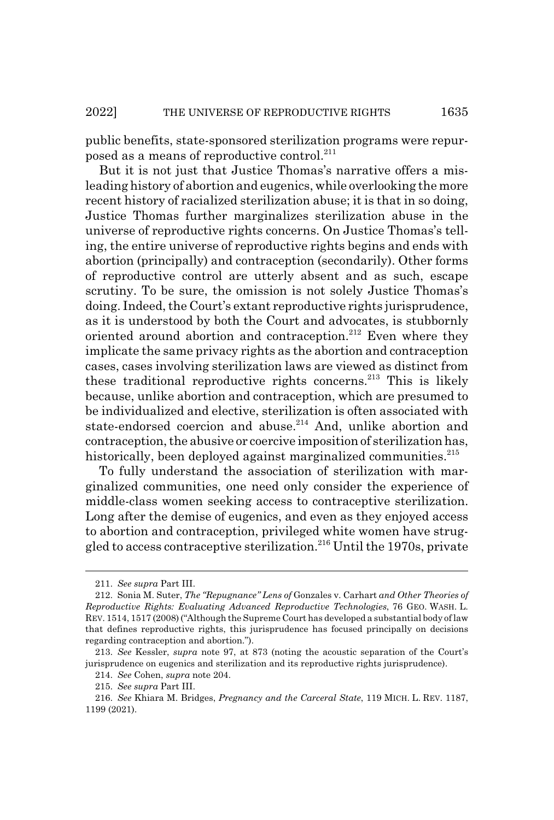public benefits, state-sponsored sterilization programs were repurposed as a means of reproductive control.<sup>211</sup>

But it is not just that Justice Thomas's narrative offers a misleading history of abortion and eugenics, while overlooking the more recent history of racialized sterilization abuse; it is that in so doing, Justice Thomas further marginalizes sterilization abuse in the universe of reproductive rights concerns. On Justice Thomas's telling, the entire universe of reproductive rights begins and ends with abortion (principally) and contraception (secondarily). Other forms of reproductive control are utterly absent and as such, escape scrutiny. To be sure, the omission is not solely Justice Thomas's doing. Indeed, the Court's extant reproductive rights jurisprudence, as it is understood by both the Court and advocates, is stubbornly oriented around abortion and contraception.<sup>212</sup> Even where they implicate the same privacy rights as the abortion and contraception cases, cases involving sterilization laws are viewed as distinct from these traditional reproductive rights concerns.<sup>213</sup> This is likely because, unlike abortion and contraception, which are presumed to be individualized and elective, sterilization is often associated with state-endorsed coercion and abuse.<sup>214</sup> And, unlike abortion and contraception, the abusive or coercive imposition of sterilization has, historically, been deployed against marginalized communities.<sup>215</sup>

To fully understand the association of sterilization with marginalized communities, one need only consider the experience of middle-class women seeking access to contraceptive sterilization. Long after the demise of eugenics, and even as they enjoyed access to abortion and contraception, privileged white women have struggled to access contraceptive sterilization.216 Until the 1970s, private

<sup>211.</sup> *See supra* Part III.

<sup>212.</sup> Sonia M. Suter, *The "Repugnance" Lens of* Gonzales v. Carhart *and Other Theories of Reproductive Rights: Evaluating Advanced Reproductive Technologies*, 76 GEO. WASH. L. REV. 1514, 1517 (2008) ("Although the Supreme Court has developed a substantial body of law that defines reproductive rights, this jurisprudence has focused principally on decisions regarding contraception and abortion.").

<sup>213.</sup> *See* Kessler, *supra* note 97, at 873 (noting the acoustic separation of the Court's jurisprudence on eugenics and sterilization and its reproductive rights jurisprudence).

<sup>214.</sup> *See* Cohen, *supra* note 204.

<sup>215.</sup> *See supra* Part III.

<sup>216.</sup> *See* Khiara M. Bridges, *Pregnancy and the Carceral State*, 119 MICH. L. REV. 1187, 1199 (2021).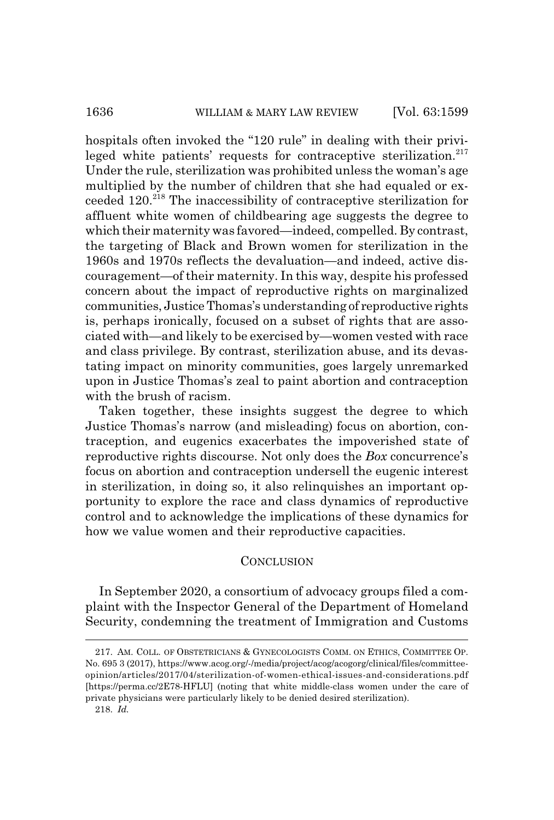hospitals often invoked the "120 rule" in dealing with their privileged white patients' requests for contraceptive sterilization. $217$ Under the rule, sterilization was prohibited unless the woman's age multiplied by the number of children that she had equaled or exceeded 120.218 The inaccessibility of contraceptive sterilization for affluent white women of childbearing age suggests the degree to which their maternity was favored—indeed, compelled. By contrast, the targeting of Black and Brown women for sterilization in the 1960s and 1970s reflects the devaluation—and indeed, active discouragement—of their maternity. In this way, despite his professed concern about the impact of reproductive rights on marginalized communities, Justice Thomas's understanding of reproductive rights is, perhaps ironically, focused on a subset of rights that are associated with—and likely to be exercised by—women vested with race and class privilege. By contrast, sterilization abuse, and its devastating impact on minority communities, goes largely unremarked upon in Justice Thomas's zeal to paint abortion and contraception with the brush of racism.

Taken together, these insights suggest the degree to which Justice Thomas's narrow (and misleading) focus on abortion, contraception, and eugenics exacerbates the impoverished state of reproductive rights discourse. Not only does the *Box* concurrence's focus on abortion and contraception undersell the eugenic interest in sterilization, in doing so, it also relinquishes an important opportunity to explore the race and class dynamics of reproductive control and to acknowledge the implications of these dynamics for how we value women and their reproductive capacities.

## **CONCLUSION**

In September 2020, a consortium of advocacy groups filed a complaint with the Inspector General of the Department of Homeland Security, condemning the treatment of Immigration and Customs

<sup>217.</sup> AM. COLL. OF OBSTETRICIANS & GYNECOLOGISTS COMM. ON ETHICS, COMMITTEE OP. No. 695 3 (2017), https://www.acog.org/-/media/project/acog/acogorg/clinical/files/committeeopinion/articles/2017/04/sterilization-of-women-ethical-issues-and-considerations.pdf [https://perma.cc/2E78-HFLU] (noting that white middle-class women under the care of private physicians were particularly likely to be denied desired sterilization).

<sup>218.</sup> *Id.*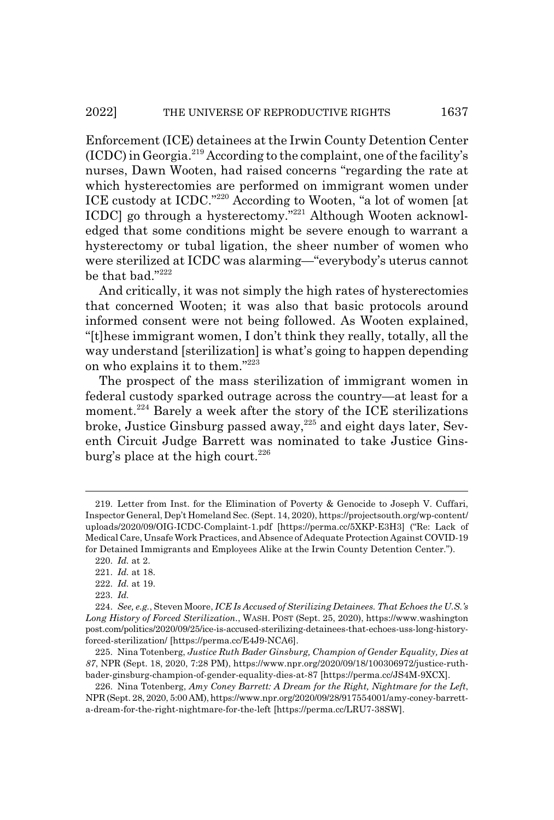Enforcement (ICE) detainees at the Irwin County Detention Center  $(ICDC)$  in Georgia.<sup>219</sup> According to the complaint, one of the facility's nurses, Dawn Wooten, had raised concerns "regarding the rate at which hysterectomies are performed on immigrant women under ICE custody at ICDC."220 According to Wooten, "a lot of women [at ICDC] go through a hysterectomy."221 Although Wooten acknowledged that some conditions might be severe enough to warrant a hysterectomy or tubal ligation, the sheer number of women who were sterilized at ICDC was alarming—"everybody's uterus cannot be that bad."222

And critically, it was not simply the high rates of hysterectomies that concerned Wooten; it was also that basic protocols around informed consent were not being followed. As Wooten explained, "[t]hese immigrant women, I don't think they really, totally, all the way understand [sterilization] is what's going to happen depending on who explains it to them."223

The prospect of the mass sterilization of immigrant women in federal custody sparked outrage across the country—at least for a moment.<sup>224</sup> Barely a week after the story of the ICE sterilizations broke, Justice Ginsburg passed away, $^{225}$  and eight days later, Seventh Circuit Judge Barrett was nominated to take Justice Ginsburg's place at the high court.<sup>226</sup>

<sup>219.</sup> Letter from Inst. for the Elimination of Poverty & Genocide to Joseph V. Cuffari, Inspector General, Dep't Homeland Sec. (Sept. 14, 2020), https://projectsouth.org/wp-content/ uploads/2020/09/OIG-ICDC-Complaint-1.pdf [https://perma.cc/5XKP-E3H3] ("Re: Lack of Medical Care, Unsafe Work Practices, and Absence of Adequate Protection Against COVID-19 for Detained Immigrants and Employees Alike at the Irwin County Detention Center.").

<sup>220.</sup> *Id.* at 2.

<sup>221.</sup> *Id.* at 18.

<sup>222.</sup> *Id.* at 19.

<sup>223.</sup> *Id.*

<sup>224.</sup> *See, e.g.*, Steven Moore, *ICE Is Accused of Sterilizing Detainees. That Echoes the U.S.'s Long History of Forced Sterilization.*, WASH. POST (Sept. 25, 2020), https://www.washington post.com/politics/2020/09/25/ice-is-accused-sterilizing-detainees-that-echoes-uss-long-historyforced-sterilization/ [https://perma.cc/E4J9-NCA6].

<sup>225.</sup> Nina Totenberg, *Justice Ruth Bader Ginsburg, Champion of Gender Equality, Dies at 87*, NPR (Sept. 18, 2020, 7:28 PM), https://www.npr.org/2020/09/18/100306972/justice-ruthbader-ginsburg-champion-of-gender-equality-dies-at-87 [https://perma.cc/JS4M-9XCX].

<sup>226.</sup> Nina Totenberg, *Amy Coney Barrett: A Dream for the Right, Nightmare for the Left*, NPR (Sept. 28, 2020, 5:00 AM), https://www.npr.org/2020/09/28/917554001/amy-coney-barretta-dream-for-the-right-nightmare-for-the-left [https://perma.cc/LRU7-38SW].